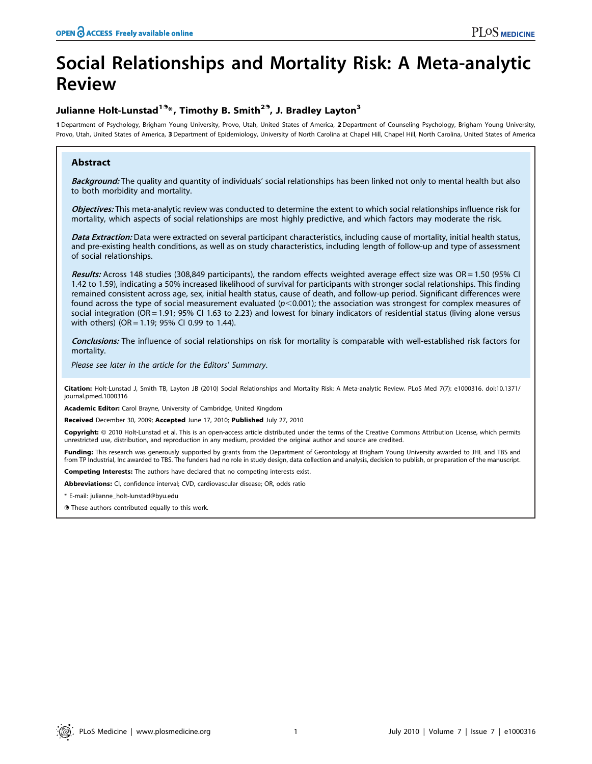# Social Relationships and Mortality Risk: A Meta-analytic Review

# Julianne Holt-Lunstad<sup>19</sup>\*, Timothy B. Smith<sup>29</sup>, J. Bradley Layton<sup>3</sup>

1 Department of Psychology, Brigham Young University, Provo, Utah, United States of America, 2 Department of Counseling Psychology, Brigham Young University, Provo, Utah, United States of America, 3 Department of Epidemiology, University of North Carolina at Chapel Hill, Chapel Hill, North Carolina, United States of America

# Abstract

Background: The quality and quantity of individuals' social relationships has been linked not only to mental health but also to both morbidity and mortality.

Objectives: This meta-analytic review was conducted to determine the extent to which social relationships influence risk for mortality, which aspects of social relationships are most highly predictive, and which factors may moderate the risk.

Data Extraction: Data were extracted on several participant characteristics, including cause of mortality, initial health status, and pre-existing health conditions, as well as on study characteristics, including length of follow-up and type of assessment of social relationships.

Results: Across 148 studies (308,849 participants), the random effects weighted average effect size was OR = 1.50 (95% CI 1.42 to 1.59), indicating a 50% increased likelihood of survival for participants with stronger social relationships. This finding remained consistent across age, sex, initial health status, cause of death, and follow-up period. Significant differences were found across the type of social measurement evaluated ( $p<0.001$ ); the association was strongest for complex measures of social integration (OR = 1.91; 95% CI 1.63 to 2.23) and lowest for binary indicators of residential status (living alone versus with others) (OR = 1.19; 95% CI 0.99 to 1.44).

Conclusions: The influence of social relationships on risk for mortality is comparable with well-established risk factors for mortality.

Please see later in the article for the Editors' Summary.

Citation: Holt-Lunstad J, Smith TB, Layton JB (2010) Social Relationships and Mortality Risk: A Meta-analytic Review. PLoS Med 7(7): e1000316. doi:10.1371/ journal.pmed.1000316

Academic Editor: Carol Brayne, University of Cambridge, United Kingdom

Received December 30, 2009; Accepted June 17, 2010; Published July 27, 2010

Copyright: © 2010 Holt-Lunstad et al. This is an open-access article distributed under the terms of the Creative Commons Attribution License, which permits unrestricted use, distribution, and reproduction in any medium, provided the original author and source are credited.

Funding: This research was generously supported by grants from the Department of Gerontology at Brigham Young University awarded to JHL and TBS and from TP Industrial, Inc awarded to TBS. The funders had no role in study design, data collection and analysis, decision to publish, or preparation of the manuscript.

Competing Interests: The authors have declared that no competing interests exist.

Abbreviations: CI, confidence interval; CVD, cardiovascular disease; OR, odds ratio

\* E-mail: julianne\_holt-lunstad@byu.edu

. These authors contributed equally to this work.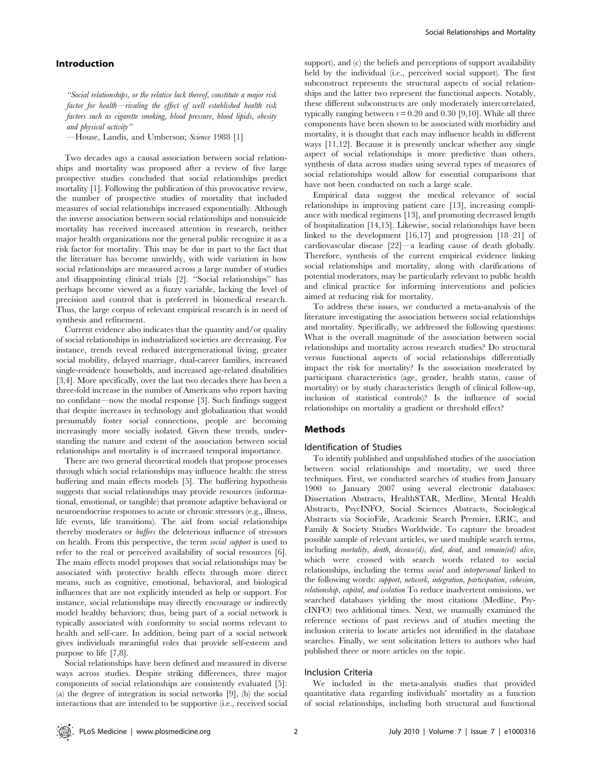# Introduction

''Social relationships, or the relative lack thereof, constitute a major risk factor for health—rivaling the effect of well established health risk factors such as cigarette smoking, blood pressure, blood lipids, obesity and physical activity''

—House, Landis, and Umberson; Science 1988 [1]

Two decades ago a causal association between social relationships and mortality was proposed after a review of five large prospective studies concluded that social relationships predict mortality [1]. Following the publication of this provocative review, the number of prospective studies of mortality that included measures of social relationships increased exponentially. Although the inverse association between social relationships and nonsuicide mortality has received increased attention in research, neither major health organizations nor the general public recognize it as a risk factor for mortality. This may be due in part to the fact that the literature has become unwieldy, with wide variation in how social relationships are measured across a large number of studies and disappointing clinical trials [2]. ''Social relationships'' has perhaps become viewed as a fuzzy variable, lacking the level of precision and control that is preferred in biomedical research. Thus, the large corpus of relevant empirical research is in need of synthesis and refinement.

Current evidence also indicates that the quantity and/or quality of social relationships in industrialized societies are decreasing. For instance, trends reveal reduced intergenerational living, greater social mobility, delayed marriage, dual-career families, increased single-residence households, and increased age-related disabilities [3,4]. More specifically, over the last two decades there has been a three-fold increase in the number of Americans who report having no confidant—now the modal response [3]. Such findings suggest that despite increases in technology and globalization that would presumably foster social connections, people are becoming increasingly more socially isolated. Given these trends, understanding the nature and extent of the association between social relationships and mortality is of increased temporal importance.

There are two general theoretical models that propose processes through which social relationships may influence health: the stress buffering and main effects models [5]. The buffering hypothesis suggests that social relationships may provide resources (informational, emotional, or tangible) that promote adaptive behavioral or neuroendocrine responses to acute or chronic stressors (e.g., illness, life events, life transitions). The aid from social relationships thereby moderates or buffers the deleterious influence of stressors on health. From this perspective, the term social support is used to refer to the real or perceived availability of social resources [6]. The main effects model proposes that social relationships may be associated with protective health effects through more direct means, such as cognitive, emotional, behavioral, and biological influences that are not explicitly intended as help or support. For instance, social relationships may directly encourage or indirectly model healthy behaviors; thus, being part of a social network is typically associated with conformity to social norms relevant to health and self-care. In addition, being part of a social network gives individuals meaningful roles that provide self-esteem and purpose to life [7,8].

Social relationships have been defined and measured in diverse ways across studies. Despite striking differences, three major components of social relationships are consistently evaluated [5]: (a) the degree of integration in social networks [9], (b) the social interactions that are intended to be supportive (i.e., received social

support), and (c) the beliefs and perceptions of support availability held by the individual (i.e., perceived social support). The first subconstruct represents the structural aspects of social relationships and the latter two represent the functional aspects. Notably, these different subconstructs are only moderately intercorrelated, typically ranging between  $r = 0.20$  and 0.30 [9,10]. While all three components have been shown to be associated with morbidity and mortality, it is thought that each may influence health in different ways [11,12]. Because it is presently unclear whether any single aspect of social relationships is more predictive than others, synthesis of data across studies using several types of measures of social relationships would allow for essential comparisons that have not been conducted on such a large scale.

Empirical data suggest the medical relevance of social relationships in improving patient care [13], increasing compliance with medical regimens [13], and promoting decreased length of hospitalization [14,15]. Likewise, social relationships have been linked to the development [16,17] and progression [18–21] of cardiovascular disease [22]—a leading cause of death globally. Therefore, synthesis of the current empirical evidence linking social relationships and mortality, along with clarifications of potential moderators, may be particularly relevant to public health and clinical practice for informing interventions and policies aimed at reducing risk for mortality.

To address these issues, we conducted a meta-analysis of the literature investigating the association between social relationships and mortality. Specifically, we addressed the following questions: What is the overall magnitude of the association between social relationships and mortality across research studies? Do structural versus functional aspects of social relationships differentially impact the risk for mortality? Is the association moderated by participant characteristics (age, gender, health status, cause of mortality) or by study characteristics (length of clinical follow-up, inclusion of statistical controls)? Is the influence of social relationships on mortality a gradient or threshold effect?

# Methods

# Identification of Studies

To identify published and unpublished studies of the association between social relationships and mortality, we used three techniques. First, we conducted searches of studies from January 1900 to January 2007 using several electronic databases: Dissertation Abstracts, HealthSTAR, Medline, Mental Health Abstracts, PsycINFO, Social Sciences Abstracts, Sociological Abstracts via SocioFile, Academic Search Premier, ERIC, and Family & Society Studies Worldwide. To capture the broadest possible sample of relevant articles, we used multiple search terms, including mortality, death, decease(d), died, dead, and remain(ed) alive, which were crossed with search words related to social relationships, including the terms social and interpersonal linked to the following words: support, network, integration, participation, cohesion, relationship, capital, and isolation To reduce inadvertent omissions, we searched databases yielding the most citations (Medline, PsycINFO) two additional times. Next, we manually examined the reference sections of past reviews and of studies meeting the inclusion criteria to locate articles not identified in the database searches. Finally, we sent solicitation letters to authors who had published three or more articles on the topic.

# Inclusion Criteria

We included in the meta-analysis studies that provided quantitative data regarding individuals' mortality as a function of social relationships, including both structural and functional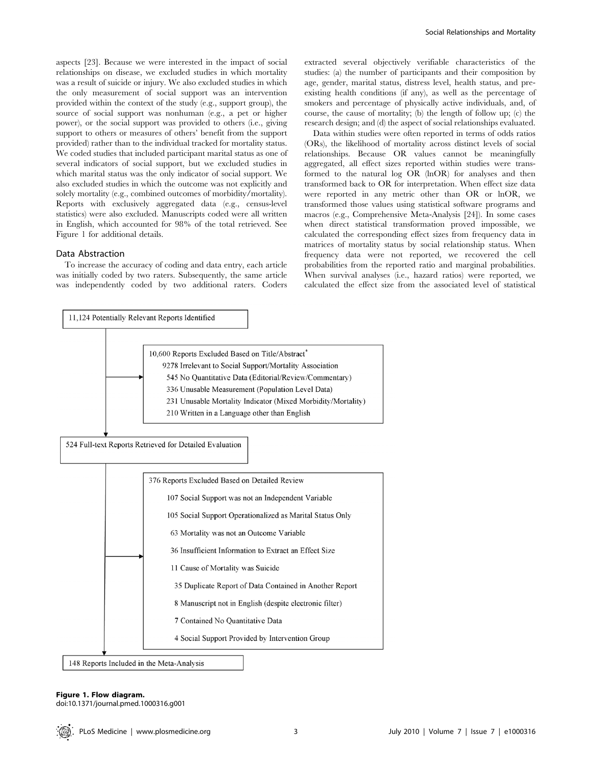aspects [23]. Because we were interested in the impact of social relationships on disease, we excluded studies in which mortality was a result of suicide or injury. We also excluded studies in which the only measurement of social support was an intervention provided within the context of the study (e.g., support group), the source of social support was nonhuman (e.g., a pet or higher power), or the social support was provided to others (i.e., giving support to others or measures of others' benefit from the support provided) rather than to the individual tracked for mortality status. We coded studies that included participant marital status as one of several indicators of social support, but we excluded studies in which marital status was the only indicator of social support. We also excluded studies in which the outcome was not explicitly and solely mortality (e.g., combined outcomes of morbidity/mortality). Reports with exclusively aggregated data (e.g., census-level statistics) were also excluded. Manuscripts coded were all written in English, which accounted for 98% of the total retrieved. See Figure 1 for additional details.

#### Data Abstraction

To increase the accuracy of coding and data entry, each article was initially coded by two raters. Subsequently, the same article was independently coded by two additional raters. Coders extracted several objectively verifiable characteristics of the studies: (a) the number of participants and their composition by age, gender, marital status, distress level, health status, and preexisting health conditions (if any), as well as the percentage of smokers and percentage of physically active individuals, and, of course, the cause of mortality; (b) the length of follow up; (c) the research design; and (d) the aspect of social relationships evaluated.

Data within studies were often reported in terms of odds ratios (ORs), the likelihood of mortality across distinct levels of social relationships. Because OR values cannot be meaningfully aggregated, all effect sizes reported within studies were transformed to the natural log OR (lnOR) for analyses and then transformed back to OR for interpretation. When effect size data were reported in any metric other than OR or lnOR, we transformed those values using statistical software programs and macros (e.g., Comprehensive Meta-Analysis [24]). In some cases when direct statistical transformation proved impossible, we calculated the corresponding effect sizes from frequency data in matrices of mortality status by social relationship status. When frequency data were not reported, we recovered the cell probabilities from the reported ratio and marginal probabilities. When survival analyses (i.e., hazard ratios) were reported, we calculated the effect size from the associated level of statistical



# Figure 1. Flow diagram.

doi:10.1371/journal.pmed.1000316.g001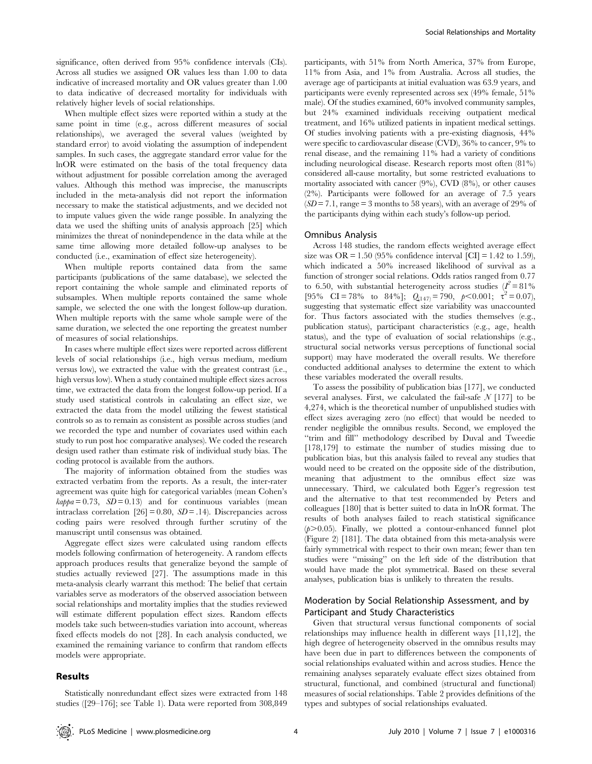significance, often derived from 95% confidence intervals (CIs). Across all studies we assigned OR values less than 1.00 to data indicative of increased mortality and OR values greater than 1.00 to data indicative of decreased mortality for individuals with relatively higher levels of social relationships.

When multiple effect sizes were reported within a study at the same point in time (e.g., across different measures of social relationships), we averaged the several values (weighted by standard error) to avoid violating the assumption of independent samples. In such cases, the aggregate standard error value for the lnOR were estimated on the basis of the total frequency data without adjustment for possible correlation among the averaged values. Although this method was imprecise, the manuscripts included in the meta-analysis did not report the information necessary to make the statistical adjustments, and we decided not to impute values given the wide range possible. In analyzing the data we used the shifting units of analysis approach [25] which minimizes the threat of nonindependence in the data while at the same time allowing more detailed follow-up analyses to be conducted (i.e., examination of effect size heterogeneity).

When multiple reports contained data from the same participants (publications of the same database), we selected the report containing the whole sample and eliminated reports of subsamples. When multiple reports contained the same whole sample, we selected the one with the longest follow-up duration. When multiple reports with the same whole sample were of the same duration, we selected the one reporting the greatest number of measures of social relationships.

In cases where multiple effect sizes were reported across different levels of social relationships (i.e., high versus medium, medium versus low), we extracted the value with the greatest contrast (i.e., high versus low). When a study contained multiple effect sizes across time, we extracted the data from the longest follow-up period. If a study used statistical controls in calculating an effect size, we extracted the data from the model utilizing the fewest statistical controls so as to remain as consistent as possible across studies (and we recorded the type and number of covariates used within each study to run post hoc comparative analyses). We coded the research design used rather than estimate risk of individual study bias. The coding protocol is available from the authors.

The majority of information obtained from the studies was extracted verbatim from the reports. As a result, the inter-rater agreement was quite high for categorical variables (mean Cohen's  $kappa = 0.73$ ,  $SD = 0.13$  and for continuous variables (mean intraclass correlation  $[26] = 0.80$ ,  $SD = .14$ ). Discrepancies across coding pairs were resolved through further scrutiny of the manuscript until consensus was obtained.

Aggregate effect sizes were calculated using random effects models following confirmation of heterogeneity. A random effects approach produces results that generalize beyond the sample of studies actually reviewed [27]. The assumptions made in this meta-analysis clearly warrant this method: The belief that certain variables serve as moderators of the observed association between social relationships and mortality implies that the studies reviewed will estimate different population effect sizes. Random effects models take such between-studies variation into account, whereas fixed effects models do not [28]. In each analysis conducted, we examined the remaining variance to confirm that random effects models were appropriate.

# Results

participants, with 51% from North America, 37% from Europe, 11% from Asia, and 1% from Australia. Across all studies, the average age of participants at initial evaluation was 63.9 years, and participants were evenly represented across sex (49% female, 51% male). Of the studies examined, 60% involved community samples, but 24% examined individuals receiving outpatient medical treatment, and 16% utilized patients in inpatient medical settings. Of studies involving patients with a pre-existing diagnosis, 44% were specific to cardiovascular disease (CVD), 36% to cancer, 9% to renal disease, and the remaining 11% had a variety of conditions including neurological disease. Research reports most often (81%) considered all-cause mortality, but some restricted evaluations to mortality associated with cancer (9%), CVD (8%), or other causes (2%). Participants were followed for an average of 7.5 years  $(SD= 7.1, \text{range} = 3 \text{ months to } 58 \text{ years})$ , with an average of 29% of the participants dying within each study's follow-up period.

# Omnibus Analysis

Across 148 studies, the random effects weighted average effect size was OR = 1.50 (95% confidence interval  $\text{[CI]} = 1.42$  to 1.59), which indicated a 50% increased likelihood of survival as a function of stronger social relations. Odds ratios ranged from 0.77 to 6.50, with substantial heterogeneity across studies  $(I^2 = 81\%$ [95% CI = 78% to 84%];  $Q_{(147)} = 790$ ,  $p < 0.001$ ;  $\tau^2 = 0.07$ ), suggesting that systematic effect size variability was unaccounted for. Thus factors associated with the studies themselves (e.g., publication status), participant characteristics (e.g., age, health status), and the type of evaluation of social relationships (e.g., structural social networks versus perceptions of functional social support) may have moderated the overall results. We therefore conducted additional analyses to determine the extent to which these variables moderated the overall results.

To assess the possibility of publication bias [177], we conducted several analyses. First, we calculated the fail-safe  $N$  [177] to be 4,274, which is the theoretical number of unpublished studies with effect sizes averaging zero (no effect) that would be needed to render negligible the omnibus results. Second, we employed the ''trim and fill'' methodology described by Duval and Tweedie [178,179] to estimate the number of studies missing due to publication bias, but this analysis failed to reveal any studies that would need to be created on the opposite side of the distribution, meaning that adjustment to the omnibus effect size was unnecessary. Third, we calculated both Egger's regression test and the alternative to that test recommended by Peters and colleagues [180] that is better suited to data in lnOR format. The results of both analyses failed to reach statistical significance  $(p>0.05)$ . Finally, we plotted a contour-enhanced funnel plot (Figure 2) [181]. The data obtained from this meta-analysis were fairly symmetrical with respect to their own mean; fewer than ten studies were ''missing'' on the left side of the distribution that would have made the plot symmetrical. Based on these several analyses, publication bias is unlikely to threaten the results.

# Moderation by Social Relationship Assessment, and by Participant and Study Characteristics

Given that structural versus functional components of social relationships may influence health in different ways [11,12], the high degree of heterogeneity observed in the omnibus results may have been due in part to differences between the components of social relationships evaluated within and across studies. Hence the remaining analyses separately evaluate effect sizes obtained from structural, functional, and combined (structural and functional) measures of social relationships. Table 2 provides definitions of the types and subtypes of social relationships evaluated.

Statistically nonredundant effect sizes were extracted from 148 studies ([29–176]; see Table 1). Data were reported from 308,849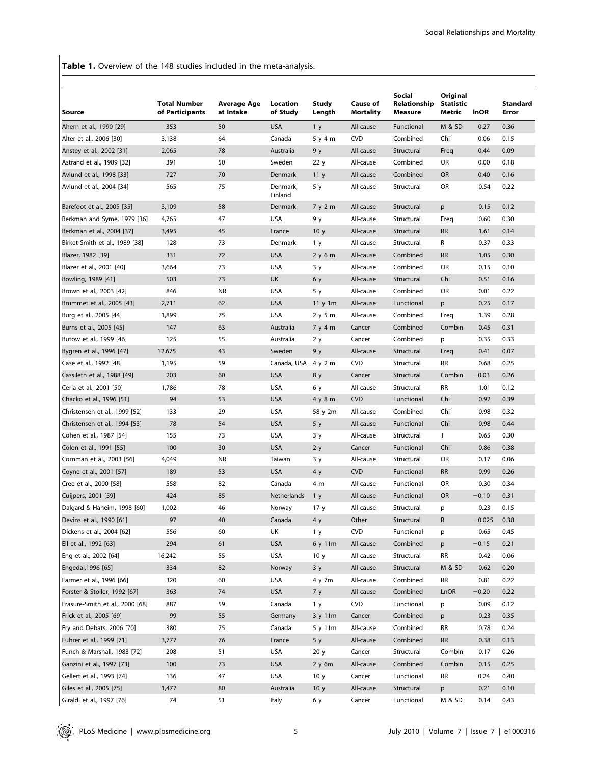Table 1. Overview of the 148 studies included in the meta-analysis.

| <b>Source</b>                   | <b>Total Number</b><br>of Participants | Average Age<br>at Intake | Location<br>of Study | <b>Study</b><br>Length | Cause of<br><b>Mortality</b> | <b>Social</b><br>Relationship<br>Measure | Original<br><b>Statistic</b><br>Metric | <b>InOR</b> | Standard<br>Error |
|---------------------------------|----------------------------------------|--------------------------|----------------------|------------------------|------------------------------|------------------------------------------|----------------------------------------|-------------|-------------------|
| Ahern et al., 1990 [29]         | 353                                    | 50                       | <b>USA</b>           | 1 <sub>y</sub>         | All-cause                    | Functional                               | M & SD                                 | 0.27        | 0.36              |
| Alter et al., 2006 [30]         | 3,138                                  | 64                       | Canada               | 5 y 4 m                | <b>CVD</b>                   | Combined                                 | Chi                                    | 0.06        | 0.15              |
| Anstey et al., 2002 [31]        | 2,065                                  | 78                       | Australia            | 9 y                    | All-cause                    | Structural                               | Freq                                   | 0.44        | 0.09              |
| Astrand et al., 1989 [32]       | 391                                    | 50                       | Sweden               | 22 y                   | All-cause                    | Combined                                 | OR                                     | 0.00        | 0.18              |
| Avlund et al., 1998 [33]        | 727                                    | 70                       | Denmark              | 11 <sub>y</sub>        | All-cause                    | Combined                                 | OR                                     | 0.40        | 0.16              |
| Avlund et al., 2004 [34]        | 565                                    | 75                       | Denmark,<br>Finland  | 5 y                    | All-cause                    | Structural                               | OR                                     | 0.54        | 0.22              |
| Barefoot et al., 2005 [35]      | 3,109                                  | 58                       | Denmark              | 7 y 2 m                | All-cause                    | Structural                               | p                                      | 0.15        | 0.12              |
| Berkman and Syme, 1979 [36]     | 4,765                                  | 47                       | <b>USA</b>           | 9у                     | All-cause                    | Structural                               | Freq                                   | 0.60        | 0.30              |
| Berkman et al., 2004 [37]       | 3,495                                  | 45                       | France               | 10 <sub>y</sub>        | All-cause                    | Structural                               | <b>RR</b>                              | 1.61        | 0.14              |
| Birket-Smith et al., 1989 [38]  | 128                                    | 73                       | Denmark              | 1 y                    | All-cause                    | Structural                               | R                                      | 0.37        | 0.33              |
| Blazer, 1982 [39]               | 331                                    | 72                       | <b>USA</b>           | 2y6m                   | All-cause                    | Combined                                 | <b>RR</b>                              | 1.05        | 0.30              |
| Blazer et al., 2001 [40]        | 3,664                                  | 73                       | <b>USA</b>           | 3y                     | All-cause                    | Combined                                 | OR                                     | 0.15        | 0.10              |
| Bowling, 1989 [41]              | 503                                    | 73                       | UK                   | 6 y                    | All-cause                    | Structural                               | Chi                                    | 0.51        | 0.16              |
| Brown et al., 2003 [42]         | 846                                    | <b>NR</b>                | <b>USA</b>           | 5 y                    | All-cause                    | Combined                                 | OR                                     | 0.01        | 0.22              |
| Brummet et al., 2005 [43]       | 2,711                                  | 62                       | <b>USA</b>           | 11 y 1m                | All-cause                    | Functional                               | p                                      | 0.25        | 0.17              |
| Burg et al., 2005 [44]          | 1,899                                  | 75                       | <b>USA</b>           | 2 y 5 m                | All-cause                    | Combined                                 | Freq                                   | 1.39        | 0.28              |
| Burns et al., 2005 [45]         | 147                                    | 63                       | Australia            | 7y4m                   | Cancer                       | Combined                                 | Combin                                 | 0.45        | 0.31              |
| Butow et al., 1999 [46]         | 125                                    | 55                       | Australia            | 2 y                    | Cancer                       | Combined                                 | p                                      | 0.35        | 0.33              |
| Bygren et al., 1996 [47]        | 12,675                                 | 43                       | Sweden               | 9 y                    | All-cause                    | Structural                               | Freq                                   | 0.41        | 0.07              |
| Case et al., 1992 [48]          | 1,195                                  | 59                       | Canada, USA 4 y 2 m  |                        | <b>CVD</b>                   | Structural                               | RR                                     | 0.68        | 0.25              |
| Cassileth et al., 1988 [49]     | 203                                    | 60                       | <b>USA</b>           | 8 y                    | Cancer                       | Structural                               | Combin                                 | $-0.03$     | 0.26              |
| Ceria et al., 2001 [50]         | 1,786                                  | 78                       | <b>USA</b>           | 6у                     | All-cause                    | Structural                               | <b>RR</b>                              | 1.01        | 0.12              |
| Chacko et al., 1996 [51]        | 94                                     | 53                       | <b>USA</b>           | 4 y 8 m                | <b>CVD</b>                   | Functional                               | Chi                                    | 0.92        | 0.39              |
| Christensen et al., 1999 [52]   | 133                                    | 29                       | <b>USA</b>           | 58 y 2m                | All-cause                    | Combined                                 | Chi                                    | 0.98        | 0.32              |
| Christensen et al., 1994 [53]   | 78                                     | 54                       | <b>USA</b>           | 5y                     | All-cause                    | Functional                               | Chi                                    | 0.98        | 0.44              |
| Cohen et al., 1987 [54]         | 155                                    | 73                       | <b>USA</b>           | 3y                     | All-cause                    | Structural                               | T.                                     | 0.65        | 0.30              |
| Colon et al., 1991 [55]         | 100                                    | 30                       | <b>USA</b>           | 2y                     | Cancer                       | Functional                               | Chi                                    | 0.86        | 0.38              |
| Cornman et al., 2003 [56]       | 4,049                                  | <b>NR</b>                | Taiwan               | 3 y                    | All-cause                    | Structural                               | OR                                     | 0.17        | 0.06              |
| Coyne et al., 2001 [57]         | 189                                    | 53                       | <b>USA</b>           | 4 y                    | <b>CVD</b>                   | Functional                               | <b>RR</b>                              | 0.99        | 0.26              |
| Cree et al., 2000 [58]          | 558                                    | 82                       | Canada               | 4 m                    | All-cause                    | Functional                               | OR                                     | 0.30        | 0.34              |
| Cuijpers, 2001 [59]             | 424                                    | 85                       | Netherlands          | 1 <sub>y</sub>         | All-cause                    | Functional                               | <b>OR</b>                              | $-0.10$     | 0.31              |
| Dalgard & Haheim, 1998 [60]     | 1,002                                  | 46                       | Norway               | 17 <sub>y</sub>        | All-cause                    | Structural                               | p                                      | 0.23        | 0.15              |
| Devins et al., 1990 [61]        | 97                                     | 40                       | Canada               | 4 y                    | Other                        | Structural                               | R                                      | $-0.025$    | 0.38              |
| Dickens et al., 2004 [62]       | 556                                    | 60                       | UK                   | 1 y                    | <b>CVD</b>                   | Functional                               | p                                      | 0.65        | 0.45              |
| Ell et al., 1992 [63]           | 294                                    | 61                       | <b>USA</b>           | 6 y 11m                | All-cause                    | Combined                                 |                                        | $-0.15$     | 0.21              |
| Eng et al., 2002 [64]           | 16,242                                 | 55                       | <b>USA</b>           | 10 <sub>y</sub>        | All-cause                    | Structural                               | p<br><b>RR</b>                         | 0.42        | 0.06              |
| Engedal, 1996 [65]              | 334                                    | 82                       | Norway               | 3y                     | All-cause                    | Structural                               | M & SD                                 | 0.62        | 0.20              |
| Farmer et al., 1996 [66]        | 320                                    | 60                       | <b>USA</b>           |                        | All-cause                    | Combined                                 | RR                                     | 0.81        | 0.22              |
| Forster & Stoller, 1992 [67]    | 363                                    | 74                       | <b>USA</b>           | 4 y 7m<br>7y           | All-cause                    | Combined                                 | LnOR                                   | $-0.20$     | 0.22              |
|                                 |                                        |                          |                      |                        |                              |                                          |                                        |             |                   |
| Frasure-Smith et al., 2000 [68] | 887                                    | 59                       | Canada               | 1 <sub>y</sub>         | <b>CVD</b>                   | Functional                               | p                                      | 0.09        | 0.12              |
| Frick et al., 2005 [69]         | 99                                     | 55                       | Germany              | 3 y 11m                | Cancer                       | Combined                                 | p                                      | 0.23        | 0.35              |
| Fry and Debats, 2006 [70]       | 380                                    | 75                       | Canada               | 5 y 11m                | All-cause                    | Combined                                 | RR                                     | 0.78        | 0.24              |
| Fuhrer et al., 1999 [71]        | 3,777                                  | 76                       | France               | 5y                     | All-cause                    | Combined                                 | <b>RR</b>                              | 0.38        | 0.13              |
| Funch & Marshall, 1983 [72]     | 208                                    | 51                       | <b>USA</b>           | 20 y                   | Cancer                       | Structural                               | Combin                                 | 0.17        | 0.26              |
| Ganzini et al., 1997 [73]       | 100                                    | 73                       | <b>USA</b>           | 2 y 6m                 | All-cause                    | Combined                                 | Combin                                 | 0.15        | 0.25              |
| Gellert et al., 1993 [74]       | 136                                    | 47                       | <b>USA</b>           | 10 <sub>y</sub>        | Cancer                       | Functional                               | <b>RR</b>                              | $-0.24$     | 0.40              |
| Giles et al., 2005 [75]         | 1,477                                  | 80                       | Australia            | 10 <sub>y</sub>        | All-cause                    | Structural                               | p                                      | 0.21        | 0.10              |
| Giraldi et al., 1997 [76]       | 74                                     | 51                       | Italy                | 6у                     | Cancer                       | Functional                               | M & SD                                 | 0.14        | 0.43              |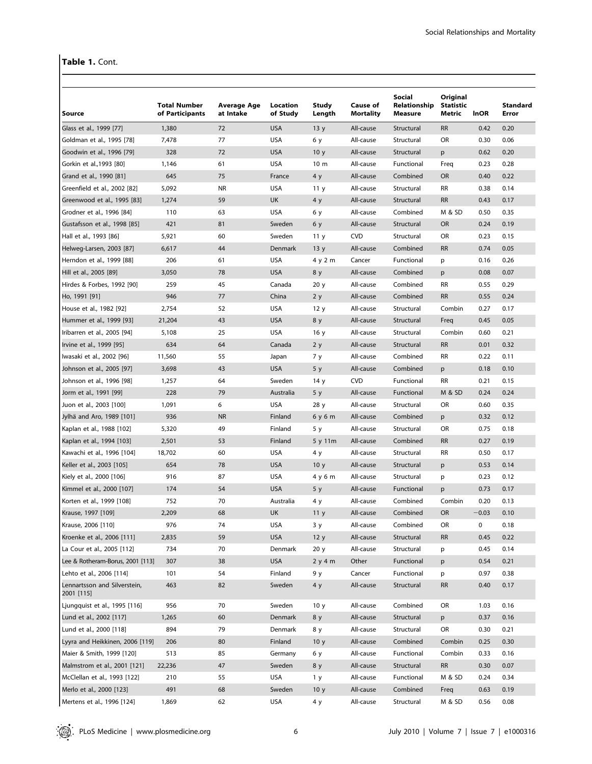# Table 1. Cont.

|                                  |                                        |                          |                      |                 |                              | Social                  | Original                   |             |                          |
|----------------------------------|----------------------------------------|--------------------------|----------------------|-----------------|------------------------------|-------------------------|----------------------------|-------------|--------------------------|
| Source                           | <b>Total Number</b><br>of Participants | Average Age<br>at Intake | Location<br>of Study | Study<br>Length | Cause of<br><b>Mortality</b> | Relationship<br>Measure | <b>Statistic</b><br>Metric | <b>InOR</b> | <b>Standard</b><br>Error |
| Glass et al., 1999 [77]          | 1,380                                  | 72                       | <b>USA</b>           | 13y             | All-cause                    | Structural              | <b>RR</b>                  | 0.42        | 0.20                     |
| Goldman et al., 1995 [78]        | 7,478                                  | 77                       | <b>USA</b>           | 6у              | All-cause                    | Structural              | <b>OR</b>                  | 0.30        | 0.06                     |
| Goodwin et al., 1996 [79]        | 328                                    | 72                       | <b>USA</b>           | 10 <sub>y</sub> | All-cause                    | Structural              | p                          | 0.62        | 0.20                     |
| Gorkin et al., 1993 [80]         | 1,146                                  | 61                       | <b>USA</b>           | 10 <sub>m</sub> | All-cause                    | Functional              | Freq                       | 0.23        | 0.28                     |
| Grand et al., 1990 [81]          | 645                                    | 75                       | France               | 4 y             | All-cause                    | Combined                | <b>OR</b>                  | 0.40        | 0.22                     |
| Greenfield et al., 2002 [82]     | 5,092                                  | <b>NR</b>                | <b>USA</b>           | 11 y            | All-cause                    | Structural              | RR                         | 0.38        | 0.14                     |
| Greenwood et al., 1995 [83]      | 1,274                                  | 59                       | <b>UK</b>            | 4 y             | All-cause                    | Structural              | <b>RR</b>                  | 0.43        | 0.17                     |
| Grodner et al., 1996 [84]        | 110                                    | 63                       | <b>USA</b>           | 6у              | All-cause                    | Combined                | M & SD                     | 0.50        | 0.35                     |
| Gustafsson et al., 1998 [85]     | 421                                    | 81                       | Sweden               | 6 y             | All-cause                    | Structural              | <b>OR</b>                  | 0.24        | 0.19                     |
| Hall et al., 1993 [86]           | 5,921                                  | 60                       | Sweden               | 11 <sub>y</sub> | <b>CVD</b>                   | Structural              | OR                         | 0.23        | 0.15                     |
| Helweg-Larsen, 2003 [87]         | 6,617                                  | 44                       | Denmark              | 13y             | All-cause                    | Combined                | <b>RR</b>                  | 0.74        | 0.05                     |
| Herndon et al., 1999 [88]        | 206                                    | 61                       | <b>USA</b>           | 4 y 2 m         | Cancer                       | Functional              | p                          | 0.16        | 0.26                     |
| Hill et al., 2005 [89]           | 3,050                                  | 78                       | <b>USA</b>           | 8 y             | All-cause                    | Combined                | p                          | 0.08        | 0.07                     |
| Hirdes & Forbes, 1992 [90]       | 259                                    | 45                       | Canada               | 20 <sub>y</sub> | All-cause                    | Combined                | <b>RR</b>                  | 0.55        | 0.29                     |
| Ho, 1991 [91]                    | 946                                    | 77                       | China                | 2y              | All-cause                    | Combined                | <b>RR</b>                  | 0.55        | 0.24                     |
| House et al., 1982 [92]          | 2,754                                  | 52                       | USA                  | 12y             | All-cause                    | Structural              | Combin                     | 0.27        | 0.17                     |
| Hummer et al., 1999 [93]         | 21,204                                 | 43                       | <b>USA</b>           | 8 y             | All-cause                    | Structural              | Freq                       | 0.45        | 0.05                     |
| Iribarren et al., 2005 [94]      | 5,108                                  | 25                       | <b>USA</b>           | 16 y            | All-cause                    | Structural              | Combin                     | 0.60        | 0.21                     |
| Irvine et al., 1999 [95]         | 634                                    | 64                       | Canada               | 2y              | All-cause                    | Structural              | <b>RR</b>                  | 0.01        | 0.32                     |
| Iwasaki et al., 2002 [96]        | 11,560                                 | 55                       | Japan                | 7 y             | All-cause                    | Combined                | <b>RR</b>                  | 0.22        | 0.11                     |
| Johnson et al., 2005 [97]        | 3,698                                  | 43                       | <b>USA</b>           | 5y              | All-cause                    | Combined                | p                          | 0.18        | 0.10                     |
| Johnson et al., 1996 [98]        | 1,257                                  | 64                       | Sweden               | 14 y            | <b>CVD</b>                   | Functional              | RR                         | 0.21        | 0.15                     |
| Jorm et al., 1991 [99]           | 228                                    | 79                       | Australia            | 5y              | All-cause                    | Functional              | <b>M &amp; SD</b>          | 0.24        | 0.24                     |
| Juon et al., 2003 [100]          | 1,091                                  | 6                        | <b>USA</b>           | 28 y            | All-cause                    | Structural              | OR                         | 0.60        | 0.35                     |
| Jylhä and Aro, 1989 [101]        | 936                                    | <b>NR</b>                | Finland              | 6y6m            | All-cause                    | Combined                | p                          | 0.32        | 0.12                     |
| Kaplan et al., 1988 [102]        | 5,320                                  | 49                       | Finland              | 5 y             | All-cause                    | Structural              | OR                         | 0.75        | 0.18                     |
| Kaplan et al., 1994 [103]        | 2,501                                  | 53                       | Finland              | 5 y 11m         | All-cause                    | Combined                | <b>RR</b>                  | 0.27        | 0.19                     |
| Kawachi et al., 1996 [104]       | 18,702                                 | 60                       | <b>USA</b>           | 4 y             | All-cause                    | Structural              | <b>RR</b>                  | 0.50        | 0.17                     |
| Keller et al., 2003 [105]        | 654                                    | 78                       | <b>USA</b>           | 10 <sub>y</sub> | All-cause                    | Structural              | p                          | 0.53        | 0.14                     |
| Kiely et al., 2000 [106]         | 916                                    | 87                       | <b>USA</b>           | 4 y 6 m         | All-cause                    | Structural              | p                          | 0.23        | 0.12                     |
| Kimmel et al., 2000 [107]        | 174                                    | 54                       | <b>USA</b>           | 5y              | All-cause                    | Functional              | p                          | 0.73        | 0.17                     |
| Korten et al., 1999 [108]        | 752                                    | 70                       | Australia            | 4 y             | All-cause                    | Combined                | Combin                     | 0.20        | 0.13                     |
| Krause, 1997 [109]               | 2,209                                  | 68                       | UK                   | 11 <sub>y</sub> | All-cause                    | Combined                | OR                         | $-0.03$     | 0.10                     |
| Krause, 2006 [110]               | 976                                    | 74                       | <b>USA</b>           | 3 y             | All-cause                    | Combined                | OR                         | 0           | 0.18                     |
| Kroenke et al., 2006 [111]       | 2,835                                  | 59                       | <b>USA</b>           | 12y             | All-cause                    | Structural              | <b>RR</b>                  | 0.45        | 0.22                     |
| La Cour et al., 2005 [112]       | 734                                    | 70                       | Denmark              | 20y             | All-cause                    | Structural              | p                          | 0.45        | 0.14                     |
| Lee & Rotheram-Borus, 2001 [113] | 307                                    | 38                       | <b>USA</b>           | 2y4m            | Other                        | Functional              | p                          | 0.54        | 0.21                     |
| Lehto et al., 2006 [114]         | 101                                    | 54                       | Finland              | 9 y             | Cancer                       | Functional              | p                          | 0.97        | 0.38                     |
| Lennartsson and Silverstein,     | 463                                    | 82                       | Sweden               | 4 y             | All-cause                    | Structural              | <b>RR</b>                  | 0.40        | 0.17                     |
| 2001 [115]                       |                                        |                          |                      |                 |                              |                         |                            |             |                          |
| Ljungquist et al., 1995 [116]    | 956                                    | 70                       | Sweden               | 10 <sub>y</sub> | All-cause                    | Combined                | OR                         | 1.03        | 0.16                     |
| Lund et al., 2002 [117]          | 1,265                                  | 60                       | Denmark              | 8 y             | All-cause                    | Structural              | p                          | 0.37        | 0.16                     |
| Lund et al., 2000 [118]          | 894                                    | 79                       | Denmark              | 8 y             | All-cause                    | Structural              | OR                         | 0.30        | 0.21                     |
| Lyyra and Heikkinen, 2006 [119]  | 206                                    | 80                       | Finland              | 10 <sub>y</sub> | All-cause                    | Combined                | Combin                     | 0.25        | 0.30                     |
| Maier & Smith, 1999 [120]        | 513                                    | 85                       | Germany              | 6у              | All-cause                    | Functional              | Combin                     | 0.33        | 0.16                     |
| Malmstrom et al., 2001 [121]     | 22,236                                 | 47                       | Sweden               | 8 y             | All-cause                    | Structural              | <b>RR</b>                  | 0.30        | 0.07                     |
| McClellan et al., 1993 [122]     | 210                                    | 55                       | <b>USA</b>           | 1 <sub>y</sub>  | All-cause                    | Functional              | M & SD                     | 0.24        | 0.34                     |
| Merlo et al., 2000 [123]         | 491                                    | 68                       | Sweden               | 10 <sub>y</sub> | All-cause                    | Combined                | Freq                       | 0.63        | 0.19                     |
| Mertens et al., 1996 [124]       | 1,869                                  | 62                       | USA                  | 4 y             | All-cause                    | Structural              | M & SD                     | 0.56        | 0.08                     |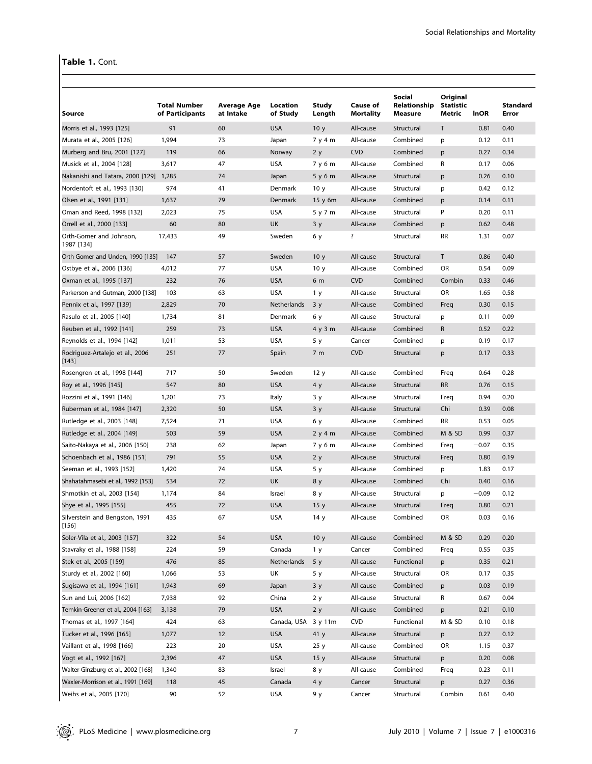# Table 1. Cont.

| Source                                   | <b>Total Number</b><br>of Participants | Average Age<br>at Intake | Location<br>of Study | Study<br>Length | Cause of<br><b>Mortality</b> | Social<br>Relationship<br><b>Measure</b> | Original<br><b>Statistic</b><br>Metric | <b>InOR</b> | Standard<br>Error |
|------------------------------------------|----------------------------------------|--------------------------|----------------------|-----------------|------------------------------|------------------------------------------|----------------------------------------|-------------|-------------------|
| Morris et al., 1993 [125]                | 91                                     | 60                       | <b>USA</b>           | 10 <sub>y</sub> | All-cause                    | Structural                               | T                                      | 0.81        | 0.40              |
| Murata et al., 2005 [126]                | 1,994                                  | 73                       | Japan                | 7 y 4 m         | All-cause                    | Combined                                 | p                                      | 0.12        | 0.11              |
| Murberg and Bru, 2001 [127]              | 119                                    | 66                       | Norway               | 2y              | <b>CVD</b>                   | Combined                                 | p                                      | 0.27        | 0.34              |
| Musick et al., 2004 [128]                | 3,617                                  | 47                       | <b>USA</b>           | 7 y 6 m         | All-cause                    | Combined                                 | R                                      | 0.17        | 0.06              |
| Nakanishi and Tatara, 2000 [129] 1,285   |                                        | 74                       | Japan                | 5y6m            | All-cause                    | Structural                               | p                                      | 0.26        | 0.10              |
| Nordentoft et al., 1993 [130]            | 974                                    | 41                       | Denmark              | 10 <sub>y</sub> | All-cause                    | Structural                               | p                                      | 0.42        | 0.12              |
| Olsen et al., 1991 [131]                 | 1,637                                  | 79                       | Denmark              | 15 y 6m         | All-cause                    | Combined                                 | р                                      | 0.14        | 0.11              |
| Oman and Reed, 1998 [132]                | 2,023                                  | 75                       | <b>USA</b>           | 5 y 7 m         | All-cause                    | Structural                               | P                                      | 0.20        | 0.11              |
| Orrell et al., 2000 [133]                | 60                                     | 80                       | <b>UK</b>            | 3y              | All-cause                    | Combined                                 | p                                      | 0.62        | 0.48              |
| Orth-Gomer and Johnson,<br>1987 [134]    | 17,433                                 | 49                       | Sweden               | 6 y             | ?                            | Structural                               | <b>RR</b>                              | 1.31        | 0.07              |
| Orth-Gomer and Unden, 1990 [135]         | 147                                    | 57                       | Sweden               | 10 <sub>y</sub> | All-cause                    | Structural                               | T                                      | 0.86        | 0.40              |
| Ostbye et al., 2006 [136]                | 4,012                                  | 77                       | <b>USA</b>           | 10 <sub>y</sub> | All-cause                    | Combined                                 | OR                                     | 0.54        | 0.09              |
| Oxman et al., 1995 [137]                 | 232                                    | 76                       | <b>USA</b>           | 6 m             | <b>CVD</b>                   | Combined                                 | Combin                                 | 0.33        | 0.46              |
| Parkerson and Gutman, 2000 [138]         | 103                                    | 63                       | <b>USA</b>           | 1 y             | All-cause                    | Structural                               | OR                                     | 1.65        | 0.58              |
| Pennix et al., 1997 [139]                | 2,829                                  | 70                       | Netherlands          | 3y              | All-cause                    | Combined                                 | Freq                                   | 0.30        | 0.15              |
| Rasulo et al., 2005 [140]                | 1,734                                  | 81                       | Denmark              | 6у              | All-cause                    | Structural                               | p                                      | 0.11        | 0.09              |
| Reuben et al., 1992 [141]                | 259                                    | 73                       | <b>USA</b>           | 4y3m            | All-cause                    | Combined                                 | R                                      | 0.52        | 0.22              |
| Reynolds et al., 1994 [142]              | 1,011                                  | 53                       | <b>USA</b>           | 5 y             | Cancer                       | Combined                                 | p                                      | 0.19        | 0.17              |
| Rodriguez-Artalejo et al., 2006<br>[143] | 251                                    | 77                       | Spain                | 7 <sub>m</sub>  | <b>CVD</b>                   | Structural                               | p                                      | 0.17        | 0.33              |
| Rosengren et al., 1998 [144]             | 717                                    | 50                       | Sweden               | 12 y            | All-cause                    | Combined                                 | Freq                                   | 0.64        | 0.28              |
| Roy et al., 1996 [145]                   | 547                                    | 80                       | <b>USA</b>           | 4 y             | All-cause                    | Structural                               | <b>RR</b>                              | 0.76        | 0.15              |
| Rozzini et al., 1991 [146]               | 1,201                                  | 73                       | Italy                | 3 y             | All-cause                    | Structural                               | Freq                                   | 0.94        | 0.20              |
| Ruberman et al., 1984 [147]              | 2,320                                  | 50                       | <b>USA</b>           | 3y              | All-cause                    | Structural                               | Chi                                    | 0.39        | 0.08              |
| Rutledge et al., 2003 [148]              | 7,524                                  | 71                       | <b>USA</b>           | 6у              | All-cause                    | Combined                                 | <b>RR</b>                              | 0.53        | 0.05              |
| Rutledge et al., 2004 [149]              | 503                                    | 59                       | <b>USA</b>           | 2y4m            | All-cause                    | Combined                                 | M & SD                                 | 0.99        | 0.37              |
| Saito-Nakaya et al., 2006 [150]          | 238                                    | 62                       | Japan                | 7y6m            | All-cause                    | Combined                                 | Freq                                   | $-0.07$     | 0.35              |
| Schoenbach et al., 1986 [151]            | 791                                    | 55                       | <b>USA</b>           | 2y              | All-cause                    | Structural                               | Freq                                   | 0.80        | 0.19              |
| Seeman et al., 1993 [152]                | 1,420                                  | 74                       | <b>USA</b>           | 5 y             | All-cause                    | Combined                                 | p                                      | 1.83        | 0.17              |
| Shahatahmasebi et al., 1992 [153]        | 534                                    | 72                       | <b>UK</b>            | 8 y             | All-cause                    | Combined                                 | Chi                                    | 0.40        | 0.16              |
| Shmotkin et al., 2003 [154]              | 1,174                                  | 84                       | Israel               | 8 y             | All-cause                    | Structural                               | p                                      | $-0.09$     | 0.12              |
| Shye et al., 1995 [155]                  | 455                                    | 72                       | <b>USA</b>           | 15 <sub>y</sub> | All-cause                    | Structural                               | Freq                                   | 0.80        | 0.21              |
| Silverstein and Bengston, 1991<br>[156]  | 435                                    | 67                       | USA                  | 14 y            | All-cause                    | Combined                                 | OR                                     | 0.03        | 0.16              |
| Soler-Vila et al., 2003 [157]            | 322                                    | 54                       | <b>USA</b>           | 10 <sub>y</sub> | All-cause                    | Combined                                 | M & SD                                 | 0.29        | 0.20              |
| Stavraky et al., 1988 [158]              | 224                                    | 59                       | Canada               | 1 <sub>y</sub>  | Cancer                       | Combined                                 | Freq                                   | 0.55        | 0.35              |
| Stek et al., 2005 [159]                  | 476                                    | 85                       | Netherlands          | 5y              | All-cause                    | Functional                               | p                                      | 0.35        | 0.21              |
| Sturdy et al., 2002 [160]                | 1,066                                  | 53                       | UK                   | 5 y             | All-cause                    | Structural                               | OR                                     | 0.17        | 0.35              |
| Sugisawa et al., 1994 [161]              | 1,943                                  | 69                       | Japan                | 3y              | All-cause                    | Combined                                 | p                                      | 0.03        | 0.19              |
| Sun and Lui, 2006 [162]                  | 7,938                                  | 92                       | China                | 2 y             | All-cause                    | Structural                               | R                                      | 0.67        | 0.04              |
| Temkin-Greener et al., 2004 [163]        | 3,138                                  | 79                       | <b>USA</b>           | 2y              | All-cause                    | Combined                                 | p                                      | 0.21        | 0.10              |
| Thomas et al., 1997 [164]                | 424                                    | 63                       | Canada, USA 3 y 11m  |                 | <b>CVD</b>                   | Functional                               | M & SD                                 | 0.10        | 0.18              |
| Tucker et al., 1996 [165]                | 1,077                                  | 12                       | <b>USA</b>           | 41y             | All-cause                    | Structural                               | p                                      | 0.27        | 0.12              |
| Vaillant et al., 1998 [166]              | 223                                    | 20                       | <b>USA</b>           | 25y             | All-cause                    | Combined                                 | OR                                     | 1.15        | 0.37              |
| Vogt et al., 1992 [167]                  | 2,396                                  | 47                       | <b>USA</b>           | 15 <sub>y</sub> | All-cause                    | Structural                               | p                                      | 0.20        | 0.08              |
| Walter-Ginzburg et al., 2002 [168]       | 1,340                                  | 83                       | Israel               | 8 y             | All-cause                    | Combined                                 | Freq                                   | 0.23        | 0.11              |
| Waxler-Morrison et al., 1991 [169]       | 118                                    | 45                       | Canada               | 4 y             | Cancer                       | Structural                               | p                                      | 0.27        | 0.36              |
| Weihs et al., 2005 [170]                 | 90                                     | 52                       | USA                  | 9 y             | Cancer                       | Structural                               | Combin                                 | 0.61        | 0.40              |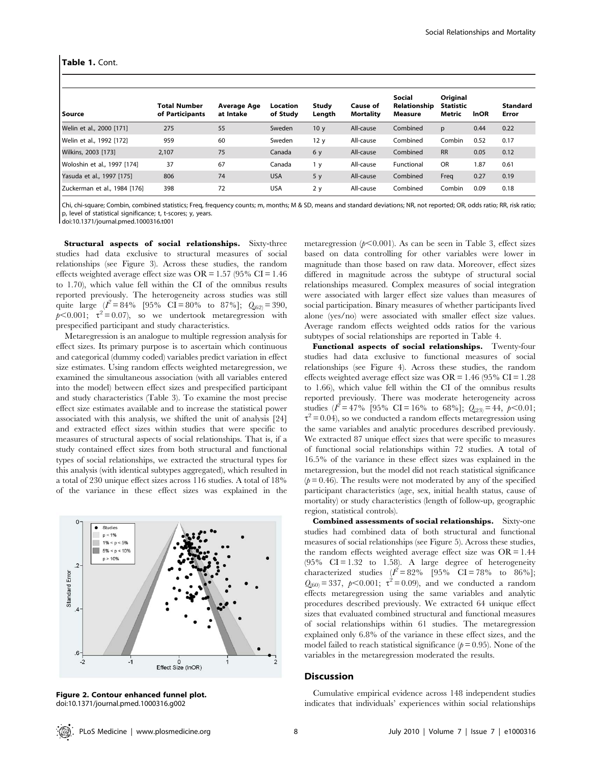| l Source                     | <b>Total Number</b><br>of Participants | Average Age<br>at Intake | Location<br>of Study | Study<br>Length | Cause of<br><b>Mortality</b> | Social<br>Relationship<br>Measure | Original<br><b>Statistic</b><br>Metric | <b>InOR</b> | <b>Standard</b><br>Error |
|------------------------------|----------------------------------------|--------------------------|----------------------|-----------------|------------------------------|-----------------------------------|----------------------------------------|-------------|--------------------------|
| Welin et al., 2000 [171]     | 275                                    | 55                       | Sweden               | 10 <sub>y</sub> | All-cause                    | Combined                          | p                                      | 0.44        | 0.22                     |
| Welin et al., 1992 [172]     | 959                                    | 60                       | Sweden               | 12 <sub>y</sub> | All-cause                    | Combined                          | Combin                                 | 0.52        | 0.17                     |
| Wilkins, 2003 [173]          | 2,107                                  | 75                       | Canada               | 6 y             | All-cause                    | Combined                          | <b>RR</b>                              | 0.05        | 0.12                     |
| Woloshin et al., 1997 [174]  | 37                                     | 67                       | Canada               | 1 y             | All-cause                    | Functional                        | <b>OR</b>                              | 1.87        | 0.61                     |
| Yasuda et al., 1997 [175]    | 806                                    | 74                       | <b>USA</b>           | 5y              | All-cause                    | Combined                          | Freq                                   | 0.27        | 0.19                     |
| Zuckerman et al., 1984 [176] | 398                                    | 72                       | <b>USA</b>           | 2y              | All-cause                    | Combined                          | Combin                                 | 0.09        | 0.18                     |

Chi, chi-square; Combin, combined statistics; Freq, frequency counts; m, months; M & SD, means and standard deviations; NR, not reported; OR, odds ratio; RR, risk ratio; p, level of statistical significance; t, t-scores; y, years.

doi:10.1371/journal.pmed.1000316.t001

Structural aspects of social relationships. Sixty-three studies had data exclusive to structural measures of social relationships (see Figure 3). Across these studies, the random effects weighted average effect size was OR =  $1.57$  (95% CI =  $1.46$ ) to 1.70), which value fell within the CI of the omnibus results reported previously. The heterogeneity across studies was still quite large  $(I^2 = 84\%$  [95% CI = 80% to 87%];  $Q_{(62)} = 390$ ,  $p<0.001$ ;  $\tau^2 = 0.07$ ), so we undertook metaregression with prespecified participant and study characteristics.

Metaregression is an analogue to multiple regression analysis for effect sizes. Its primary purpose is to ascertain which continuous and categorical (dummy coded) variables predict variation in effect size estimates. Using random effects weighted metaregression, we examined the simultaneous association (with all variables entered into the model) between effect sizes and prespecified participant and study characteristics (Table 3). To examine the most precise effect size estimates available and to increase the statistical power associated with this analysis, we shifted the unit of analysis [24] and extracted effect sizes within studies that were specific to measures of structural aspects of social relationships. That is, if a study contained effect sizes from both structural and functional types of social relationships, we extracted the structural types for this analysis (with identical subtypes aggregated), which resulted in a total of 230 unique effect sizes across 116 studies. A total of 18% of the variance in these effect sizes was explained in the



Figure 2. Contour enhanced funnel plot. doi:10.1371/journal.pmed.1000316.g002

metaregression ( $p<0.001$ ). As can be seen in Table 3, effect sizes based on data controlling for other variables were lower in magnitude than those based on raw data. Moreover, effect sizes differed in magnitude across the subtype of structural social relationships measured. Complex measures of social integration were associated with larger effect size values than measures of social participation. Binary measures of whether participants lived alone (yes/no) were associated with smaller effect size values. Average random effects weighted odds ratios for the various subtypes of social relationships are reported in Table 4.

Functional aspects of social relationships. Twenty-four studies had data exclusive to functional measures of social relationships (see Figure 4). Across these studies, the random effects weighted average effect size was OR = 1.46 (95% CI = 1.28 to 1.66), which value fell within the CI of the omnibus results reported previously. There was moderate heterogeneity across studies  $(I^2 = 47\%$  [95% CI = 16% to 68%];  $Q_{(23)} = 44$ ,  $p < 0.01$ ;  $\tau^2$  = 0.04), so we conducted a random effects metaregression using the same variables and analytic procedures described previously. We extracted 87 unique effect sizes that were specific to measures of functional social relationships within 72 studies. A total of 16.5% of the variance in these effect sizes was explained in the metaregression, but the model did not reach statistical significance  $(p= 0.46)$ . The results were not moderated by any of the specified participant characteristics (age, sex, initial health status, cause of mortality) or study characteristics (length of follow-up, geographic region, statistical controls).

Combined assessments of social relationships. Sixty-one studies had combined data of both structural and functional measures of social relationships (see Figure 5). Across these studies, the random effects weighted average effect size was  $OR = 1.44$ (95%  $CI = 1.32$  to 1.58). A large degree of heterogeneity characterized studies  $I^2 = 82\%$  [95% CI = 78% to 86%];  $Q_{(60)} = 337$ ,  $p < 0.001$ ;  $\tau^2 = 0.09$ ), and we conducted a random effects metaregression using the same variables and analytic procedures described previously. We extracted 64 unique effect sizes that evaluated combined structural and functional measures of social relationships within 61 studies. The metaregression explained only 6.8% of the variance in these effect sizes, and the model failed to reach statistical significance ( $p = 0.95$ ). None of the variables in the metaregression moderated the results.

#### **Discussion**

Cumulative empirical evidence across 148 independent studies indicates that individuals' experiences within social relationships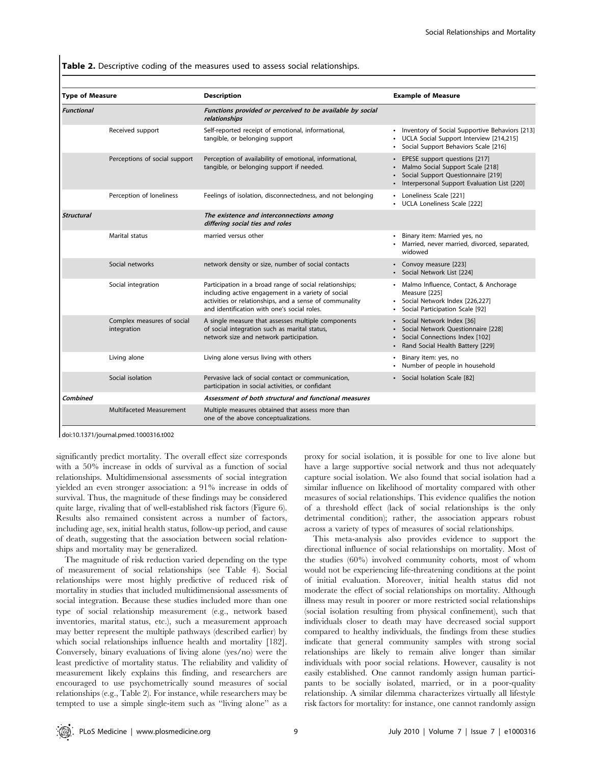Table 2. Descriptive coding of the measures used to assess social relationships.

| <b>Type of Measure</b> |                                           | <b>Description</b>                                                                                                                                                                                                      | <b>Example of Measure</b>                                                                                                                                           |
|------------------------|-------------------------------------------|-------------------------------------------------------------------------------------------------------------------------------------------------------------------------------------------------------------------------|---------------------------------------------------------------------------------------------------------------------------------------------------------------------|
| Functional             |                                           | Functions provided or perceived to be available by social<br>relationships                                                                                                                                              |                                                                                                                                                                     |
|                        | Received support                          | Self-reported receipt of emotional, informational,<br>tangible, or belonging support                                                                                                                                    | • Inventory of Social Supportive Behaviors [213]<br>• UCLA Social Support Interview [214,215]<br>• Social Support Behaviors Scale [216]                             |
|                        | Perceptions of social support             | Perception of availability of emotional, informational,<br>tangible, or belonging support if needed.                                                                                                                    | EPESE support questions [217]<br>$\bullet$<br>Malmo Social Support Scale [218]<br>Social Support Questionnaire [219]<br>Interpersonal Support Evaluation List [220] |
|                        | Perception of loneliness                  | Feelings of isolation, disconnectedness, and not belonging                                                                                                                                                              | • Loneliness Scale [221]<br>• UCLA Loneliness Scale [222]                                                                                                           |
| <b>Structural</b>      |                                           | The existence and interconnections among<br>differing social ties and roles                                                                                                                                             |                                                                                                                                                                     |
|                        | Marital status                            | married versus other                                                                                                                                                                                                    | Binary item: Married yes, no<br>$\bullet$<br>Married, never married, divorced, separated,<br>widowed                                                                |
|                        | Social networks                           | network density or size, number of social contacts                                                                                                                                                                      | • Convoy measure [223]<br>• Social Network List [224]                                                                                                               |
|                        | Social integration                        | Participation in a broad range of social relationships;<br>including active engagement in a variety of social<br>activities or relationships, and a sense of communality<br>and identification with one's social roles. | Malmo Influence, Contact, & Anchorage<br>$\bullet$<br>Measure [225]<br>· Social Network Index [226,227]<br>Social Participation Scale [92]<br>$\bullet$             |
|                        | Complex measures of social<br>integration | A single measure that assesses multiple components<br>of social integration such as marital status,<br>network size and network participation.                                                                          | · Social Network Index [36]<br>Social Network Questionnaire [228]<br>Social Connections Index [102]<br>Rand Social Health Battery [229]<br>$\bullet$                |
|                        | Living alone                              | Living alone versus living with others                                                                                                                                                                                  | Binary item: yes, no<br>Number of people in household<br>$\bullet$                                                                                                  |
|                        | Social isolation                          | Pervasive lack of social contact or communication,<br>participation in social activities, or confidant                                                                                                                  | • Social Isolation Scale [82]                                                                                                                                       |
| Combined               |                                           | Assessment of both structural and functional measures                                                                                                                                                                   |                                                                                                                                                                     |
|                        | Multifaceted Measurement                  | Multiple measures obtained that assess more than<br>one of the above conceptualizations.                                                                                                                                |                                                                                                                                                                     |

doi:10.1371/journal.pmed.1000316.t002

significantly predict mortality. The overall effect size corresponds with a 50% increase in odds of survival as a function of social relationships. Multidimensional assessments of social integration yielded an even stronger association: a 91% increase in odds of survival. Thus, the magnitude of these findings may be considered quite large, rivaling that of well-established risk factors (Figure 6). Results also remained consistent across a number of factors, including age, sex, initial health status, follow-up period, and cause of death, suggesting that the association between social relationships and mortality may be generalized.

The magnitude of risk reduction varied depending on the type of measurement of social relationships (see Table 4). Social relationships were most highly predictive of reduced risk of mortality in studies that included multidimensional assessments of social integration. Because these studies included more than one type of social relationship measurement (e.g., network based inventories, marital status, etc.), such a measurement approach may better represent the multiple pathways (described earlier) by which social relationships influence health and mortality [182]. Conversely, binary evaluations of living alone (yes/no) were the least predictive of mortality status. The reliability and validity of measurement likely explains this finding, and researchers are encouraged to use psychometrically sound measures of social relationships (e.g., Table 2). For instance, while researchers may be tempted to use a simple single-item such as ''living alone'' as a

proxy for social isolation, it is possible for one to live alone but have a large supportive social network and thus not adequately capture social isolation. We also found that social isolation had a similar influence on likelihood of mortality compared with other measures of social relationships. This evidence qualifies the notion of a threshold effect (lack of social relationships is the only detrimental condition); rather, the association appears robust across a variety of types of measures of social relationships.

This meta-analysis also provides evidence to support the directional influence of social relationships on mortality. Most of the studies (60%) involved community cohorts, most of whom would not be experiencing life-threatening conditions at the point of initial evaluation. Moreover, initial health status did not moderate the effect of social relationships on mortality. Although illness may result in poorer or more restricted social relationships (social isolation resulting from physical confinement), such that individuals closer to death may have decreased social support compared to healthy individuals, the findings from these studies indicate that general community samples with strong social relationships are likely to remain alive longer than similar individuals with poor social relations. However, causality is not easily established. One cannot randomly assign human participants to be socially isolated, married, or in a poor-quality relationship. A similar dilemma characterizes virtually all lifestyle risk factors for mortality: for instance, one cannot randomly assign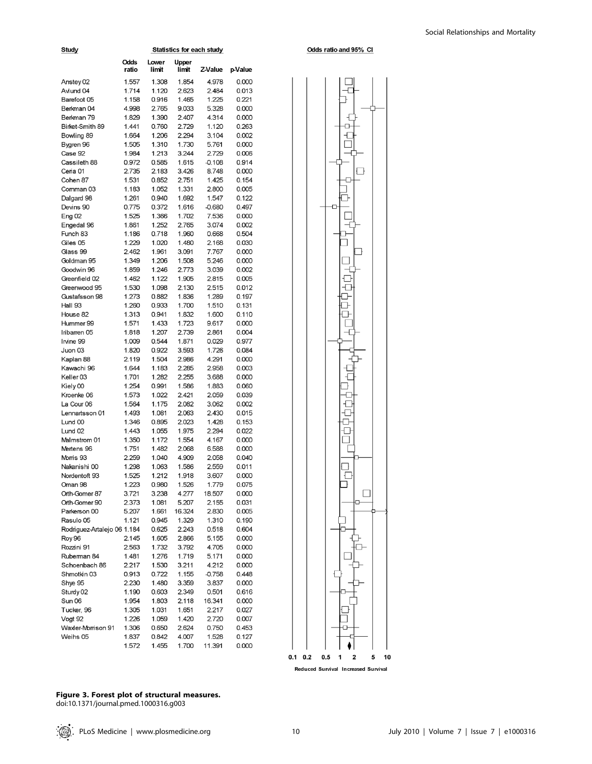| Study                       | <b>Statistics for each study</b> |                |                |          |         |  |  |
|-----------------------------|----------------------------------|----------------|----------------|----------|---------|--|--|
|                             | Odds<br>ratio                    | Lower<br>limit | Upper<br>limit | Z-Value  | p-Value |  |  |
| Anstey 02                   | 1.557                            | 1.308          | 1.854          | 4.978    | 0.000   |  |  |
| Avlund 04                   | 1.714                            | 1.120          | 2.623          | 2.484    | 0.013   |  |  |
| Barefoot 05                 | 1.158                            | 0.916          | 1.465          | 1.225    | 0.221   |  |  |
| Berkman 04                  | 4.998                            | 2.765          | 9.033          | 5.328    | 0.000   |  |  |
| Berkman 79                  | 1.829                            | 1.390          | 2.407          | 4.314    | 0.000   |  |  |
| Birket-Smith 89             | 1.441                            | 0.760          | 2.729          | 1.120    | 0.263   |  |  |
| Bowling 89                  | 1.664                            | 1.206          | 2.294          | 3.104    | 0.002   |  |  |
| Bygren 96                   | 1.505                            | 1.310          | 1.730          | 5.761    | 0.000   |  |  |
| Case 92                     | 1.984                            | 1.213          | 3.244          | 2.729    | 0.006   |  |  |
| Cassileth 88                | 0.972                            | 0.585          | 1.615          | $-0.108$ | 0.914   |  |  |
| Ceria 01                    | 2.735                            | 2.183          | 3.426          | 8.748    | 0.000   |  |  |
| Cohen 87                    | 1.531                            | 0.852          | 2.751          | 1.425    | 0.154   |  |  |
| Comman 03                   | 1.183                            | 1.052          | 1.331          | 2.800    | 0.005   |  |  |
| Dalgard 98                  | 1.261                            | 0.940          | 1.692          | 1.547    | 0.122   |  |  |
| Devins 90                   | 0.775                            | 0.372          | 1.616          | $-0.680$ | 0.497   |  |  |
| <b>Eng 02</b>               | 1.525                            | 1.366          | 1.702          | 7.536    | 0.000   |  |  |
| Engedal 96                  | 1.861                            | 1.252          | 2.765          | 3.074    | 0.002   |  |  |
| Funch 83                    | 1.186                            | 0.718          | 1.960          | 0.668    | 0.504   |  |  |
| Giles 05                    | 1.229                            | 1.020          | 1.480          | 2.168    | 0.030   |  |  |
| Glass 99                    | 2.462                            | 1.961          | 3.091          | 7.767    | 0.000   |  |  |
| Goldman 95                  | 1.349                            | 1.206          | 1.508          | 5.246    | 0.000   |  |  |
| Goodwin 96                  | 1.859                            | 1.246          | 2.773          | 3.039    | 0.002   |  |  |
| Greenfield 02               | 1.462                            | 1.122          | 1.905          | 2.815    | 0.005   |  |  |
| Greenwood 95                | 1.530                            | 1.098          | 2.130          | 2.515    | 0.012   |  |  |
| Gustafsson 98               | 1.273                            | 0.882          | 1.836          | 1.289    | 0.197   |  |  |
| Hall 93                     | 1.260                            | 0.933          | 1.700          | 1.510    | 0.131   |  |  |
| House 82                    | 1.313                            | 0.941          | 1.832          | 1.600    | 0.110   |  |  |
| Hummer 99                   | 1.571                            | 1.433          | 1.723          | 9.617    | 0.000   |  |  |
| Iribarren 05                | 1.818                            | 1.207          | 2.739          | 2.861    | 0.004   |  |  |
| Irvine 99                   | 1.009                            | 0.544          | 1.871          | 0.029    | 0.977   |  |  |
| Juon 03                     | 1.820                            | 0.922          | 3.593          | 1.726    | 0.084   |  |  |
| Kaplan 88                   | 2.119                            | 1.504          | 2.986          | 4.291    | 0.000   |  |  |
| Kawachi 96                  | 1.644                            | 1.183          | 2.285          | 2.958    | 0.003   |  |  |
| Keller <sub>03</sub>        | 1.701                            | 1.282          | 2.255          | 3.688    | 0.000   |  |  |
| Kiely 00                    | 1.254                            | 0.991          | 1.586          | 1.883    | 0.060   |  |  |
| Kroenke 06                  | 1.573                            | 1.022          | 2.421          | 2.059    | 0.039   |  |  |
| La Cour 06                  | 1.564                            | 1.175          | 2.082          | 3.062    | 0.002   |  |  |
| Lennartsson 01              | 1.493                            | 1.081          | 2.063          | 2.430    | 0.015   |  |  |
| Lund 00                     | 1.346                            | 0.895          | 2.023          | 1.428    | 0.153   |  |  |
| Lund <sub>02</sub>          | 1.443                            | 1.055          | 1.975          | 2.294    | 0.022   |  |  |
| Malmstrom 01                | 1.350                            | 1.172          | 1.554          | 4.167    | 0.000   |  |  |
| Mertens 96                  | 1.751                            | 1.482          | 2.068          | 6.588    | 0.000   |  |  |
| Morris 93                   | 2.259                            | 1.040          | 4.909          | 2.058    | 0.040   |  |  |
| Nakanishi 00                | 1.298                            | 1.063          | 1.586          | 2.559    | 0.011   |  |  |
| Nordentoft 93               | 1.525                            | 1.212          | 1.918          | 3.607    | 0.000   |  |  |
| Oman 98                     | 1.223                            | 0.980          | 1.526          | 1.779    | 0.075   |  |  |
| Orth-Gomer 87               | 3.721                            | 3.238          | 4.277          | 18.507   | 0.000   |  |  |
| Orth-Gomer 90               | 2.373                            | 1.081          | 5.207          | 2.155    | 0.031   |  |  |
| Parkerson 00                | 5.207                            | 1.661          | 16.324         | 2.830    | 0.005   |  |  |
| Rasulo 05                   | 1.121                            | 0.945          | 1.329          | 1.310    | 0.190   |  |  |
| Rodriguez-Artalejo 06 1.184 |                                  | 0.625          | 2.243          | 0.518    | 0.604   |  |  |
| <b>Roy 96</b>               | 2.145                            | 1.605          | 2.866          | 5.155    | 0.000   |  |  |
| Rozzini 91                  | 2.563                            | 1.732          | 3.792          | 4.705    | 0.000   |  |  |
| Ruberman 84                 | 1.481                            | 1.276          | 1.719          | 5.171    | 0.000   |  |  |
| Schoenbach 86               | 2.217                            | 1.530          | 3.211          | 4.212    | 0.000   |  |  |
| Shmotkin 03                 | 0.913                            | 0.722          | 1.155          | $-0.758$ | 0.448   |  |  |
| Shye 95                     | 2.230                            | 1.480          | 3.359          | 3.837    | 0.000   |  |  |
| Sturdy 02                   | 1.190                            | 0.603          | 2.349          | 0.501    | 0.616   |  |  |
| Sun 06                      | 1.954                            | 1.803          | 2.118          | 16.341   | 0.000   |  |  |
| Tucker, 96                  | 1.305                            | 1.031          | 1.651          | 2.217    | 0.027   |  |  |
| Vogt 92                     | 1.226                            | 1.059          | 1.420          | 2.720    | 0.007   |  |  |
| Waxler-Morrison 91          | 1.306                            | 0.650          | 2.624          | 0.750    | 0.453   |  |  |
| Weihs 05                    | 1.837                            | 0.842          | 4.007          | 1.528    | 0.127   |  |  |
|                             | 1.572                            | 1.455          | 1.700          | 11.391   | 0.000   |  |  |



Odds ratio and 95% CI

Reduced Survival Increased Survival

Figure 3. Forest plot of structural measures.

doi:10.1371/journal.pmed.1000316.g003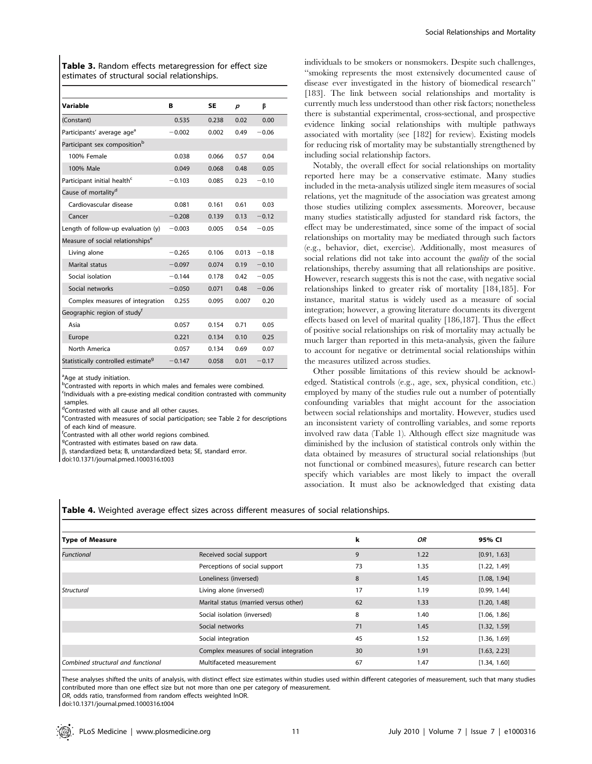Table 3. Random effects metaregression for effect size estimates of structural social relationships.

| Variable                                       | в        | <b>SE</b> | р     | ß       |
|------------------------------------------------|----------|-----------|-------|---------|
| (Constant)                                     | 0.535    | 0.238     | 0.02  | 0.00    |
| Participants' average age <sup>a</sup>         | $-0.002$ | 0.002     | 0.49  | $-0.06$ |
| Participant sex composition <sup>b</sup>       |          |           |       |         |
| 100% Female                                    | 0.038    | 0.066     | 0.57  | 0.04    |
| 100% Male                                      | 0.049    | 0.068     | 0.48  | 0.05    |
| Participant initial health <sup>c</sup>        | $-0.103$ | 0.085     | 0.23  | $-0.10$ |
| Cause of mortality <sup>d</sup>                |          |           |       |         |
| Cardiovascular disease                         | 0.081    | 0.161     | 0.61  | 0.03    |
| Cancer                                         | $-0.208$ | 0.139     | 0.13  | $-0.12$ |
| Length of follow-up evaluation (y)             | $-0.003$ | 0.005     | 0.54  | $-0.05$ |
| Measure of social relationships <sup>e</sup>   |          |           |       |         |
| Living alone                                   | $-0.265$ | 0.106     | 0.013 | $-0.18$ |
| Marital status                                 | $-0.097$ | 0.074     | 0.19  | $-0.10$ |
| Social isolation                               | $-0.144$ | 0.178     | 0.42  | $-0.05$ |
| Social networks                                | $-0.050$ | 0.071     | 0.48  | $-0.06$ |
| Complex measures of integration                | 0.255    | 0.095     | 0.007 | 0.20    |
| Geographic region of study <sup>f</sup>        |          |           |       |         |
| Asia                                           | 0.057    | 0.154     | 0.71  | 0.05    |
| Europe                                         | 0.221    | 0.134     | 0.10  | 0.25    |
| North America                                  | 0.057    | 0.134     | 0.69  | 0.07    |
| Statistically controlled estimate <sup>9</sup> | $-0.147$ | 0.058     | 0.01  | $-0.17$ |

<sup>a</sup>Age at study initiation.

<sup>b</sup>Contrasted with reports in which males and females were combined.

<sup>c</sup>Individuals with a pre-existing medical condition contrasted with community samples.

<sup>d</sup>Contrasted with all cause and all other causes.

eContrasted with measures of social participation; see Table 2 for descriptions of each kind of measure.

f Contrasted with all other world regions combined.

<sup>9</sup>Contrasted with estimates based on raw data.

b, standardized beta; B, unstandardized beta; SE, standard error.

doi:10.1371/journal.pmed.1000316.t003

individuals to be smokers or nonsmokers. Despite such challenges, ''smoking represents the most extensively documented cause of disease ever investigated in the history of biomedical research'' [183]. The link between social relationships and mortality is currently much less understood than other risk factors; nonetheless there is substantial experimental, cross-sectional, and prospective evidence linking social relationships with multiple pathways associated with mortality (see [182] for review). Existing models for reducing risk of mortality may be substantially strengthened by including social relationship factors.

Notably, the overall effect for social relationships on mortality reported here may be a conservative estimate. Many studies included in the meta-analysis utilized single item measures of social relations, yet the magnitude of the association was greatest among those studies utilizing complex assessments. Moreover, because many studies statistically adjusted for standard risk factors, the effect may be underestimated, since some of the impact of social relationships on mortality may be mediated through such factors (e.g., behavior, diet, exercise). Additionally, most measures of social relations did not take into account the *quality* of the social relationships, thereby assuming that all relationships are positive. However, research suggests this is not the case, with negative social relationships linked to greater risk of mortality [184,185]. For instance, marital status is widely used as a measure of social integration; however, a growing literature documents its divergent effects based on level of marital quality [186,187]. Thus the effect of positive social relationships on risk of mortality may actually be much larger than reported in this meta-analysis, given the failure to account for negative or detrimental social relationships within the measures utilized across studies.

Other possible limitations of this review should be acknowledged. Statistical controls (e.g., age, sex, physical condition, etc.) employed by many of the studies rule out a number of potentially confounding variables that might account for the association between social relationships and mortality. However, studies used an inconsistent variety of controlling variables, and some reports involved raw data (Table 1). Although effect size magnitude was diminished by the inclusion of statistical controls only within the data obtained by measures of structural social relationships (but not functional or combined measures), future research can better specify which variables are most likely to impact the overall association. It must also be acknowledged that existing data

Table 4. Weighted average effect sizes across different measures of social relationships.

| Type of Measure                    |                                        | k  | OR   | 95% CI       |
|------------------------------------|----------------------------------------|----|------|--------------|
| <b>Functional</b>                  | Received social support                | 9  | 1.22 | [0.91, 1.63] |
|                                    | Perceptions of social support          | 73 | 1.35 | [1.22, 1.49] |
|                                    | Loneliness (inversed)                  | 8  | 1.45 | [1.08, 1.94] |
| <b>Structural</b>                  | Living alone (inversed)                | 17 | 1.19 | [0.99, 1.44] |
|                                    | Marital status (married versus other)  | 62 | 1.33 | [1.20, 1.48] |
|                                    | Social isolation (inversed)            | 8  | 1.40 | [1.06, 1.86] |
|                                    | Social networks                        | 71 | 1.45 | [1.32, 1.59] |
|                                    | Social integration                     | 45 | 1.52 | [1.36, 1.69] |
|                                    | Complex measures of social integration | 30 | 1.91 | [1.63, 2.23] |
| Combined structural and functional | Multifaceted measurement               | 67 | 1.47 | [1.34, 1.60] |

These analyses shifted the units of analysis, with distinct effect size estimates within studies used within different categories of measurement, such that many studies contributed more than one effect size but not more than one per category of measurement. OR, odds ratio, transformed from random effects weighted lnOR.

doi:10.1371/journal.pmed.1000316.t004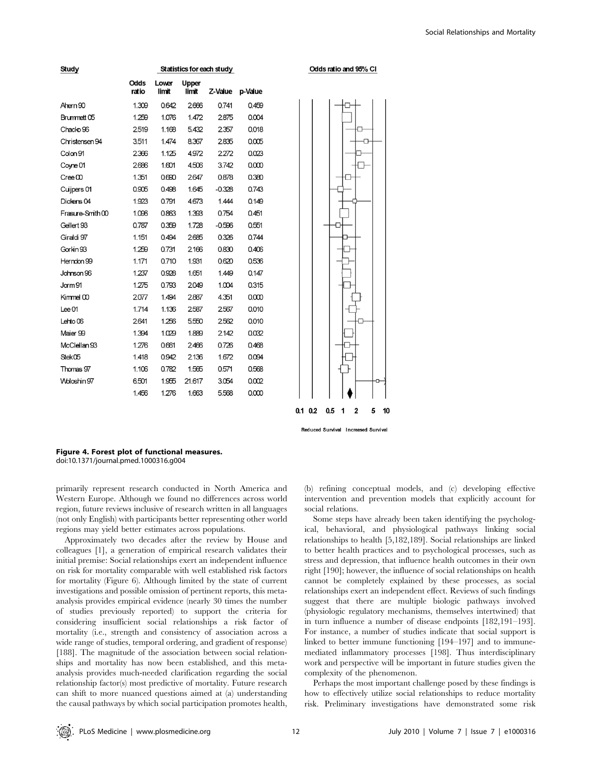| Study                  | Statistics for each study |                |                |          |         |  |  |  |
|------------------------|---------------------------|----------------|----------------|----------|---------|--|--|--|
|                        | Odds<br>ratio             | Lower<br>limit | Upper<br>limit | Z-Value  | p-Value |  |  |  |
| Ahern 90               | 1.309                     | 0.642          | 2666           | 0.741    | 0.459   |  |  |  |
| Brummett <sub>05</sub> | 1.259                     | 1.076          | 1.472          | 2875     | 0.004   |  |  |  |
| Chacko <sub>96</sub>   | 2519                      | 1.168          | 5.432          | 2357     | 0.018   |  |  |  |
| Christensen 94         | 3.511                     | 1.474          | 8.367          | 2835     | 0.005   |  |  |  |
| Colon 91               | 2366                      | 1.125          | 4.972          | 2272     | 0.023   |  |  |  |
| Coyne 01               | 2686                      | 1.601          | 4.506          | 3.742    | 0.000   |  |  |  |
| Cree 00                | 1.351                     | 0.690          | 2647           | 0.878    | 0.380   |  |  |  |
| Cuijpers 01            | 0.905                     | 0.498          | 1.645          | $-0.328$ | 0.743   |  |  |  |
| Dickens <sub>04</sub>  | 1.923                     | 0.791          | 4.673          | 1.444    | 0.149   |  |  |  |
| Frasure-Smith 00       | 1.096                     | 0.863          | 1.393          | 0.754    | 0.451   |  |  |  |
| Gellert 93             | 0.787                     | 0.359          | 1.728          | $-0.596$ | 0.551   |  |  |  |
| Giraldi 97             | 1.151                     | 0.494          | 2685           | 0.326    | 0.744   |  |  |  |
| Gorkin 93              | 1.259                     | 0.731          | 2166           | 0.830    | 0.406   |  |  |  |
| Herndon 99             | 1.171                     | 0.710          | 1.931          | 0.620    | 0.536   |  |  |  |
| Johnson 96             | 1.237                     | 0.928          | 1.651          | 1.449    | 0.147   |  |  |  |
| Jorm 91                | 1.275                     | 0.793          | 2049           | 1.004    | 0.315   |  |  |  |
| Kimmel 00              | 2077                      | 1.494          | 2887           | 4.351    | 0.000   |  |  |  |
| $Lee$ 01               | 1.714                     | 1.136          | 2587           | 2567     | 0.010   |  |  |  |
| Lehto <sub>06</sub>    | 2641                      | 1.256          | 5.550          | 2562     | 0.010   |  |  |  |
| Maier 99               | 1.394                     | 1.029          | 1.889          | 2142     | 0.032   |  |  |  |
| McClellan 93           | 1.276                     | 0.661          | 2466           | 0.726    | 0.468   |  |  |  |
| Stek05                 | 1.418                     | 0.942          | 2136           | 1.672    | 0.094   |  |  |  |
| Thomas 97              | 1.106                     | 0.782          | 1.565          | 0.571    | 0.568   |  |  |  |
| Woloshin 97            | 6.501                     | 1.955          | 21.617         | 3.054    | 0.002   |  |  |  |
|                        | 1.456                     | 1.276          | 1.663          | 5.568    | 0.000   |  |  |  |



Figure 4. Forest plot of functional measures. doi:10.1371/journal.pmed.1000316.g004

primarily represent research conducted in North America and Western Europe. Although we found no differences across world region, future reviews inclusive of research written in all languages (not only English) with participants better representing other world regions may yield better estimates across populations.

Approximately two decades after the review by House and colleagues [1], a generation of empirical research validates their initial premise: Social relationships exert an independent influence on risk for mortality comparable with well established risk factors for mortality (Figure 6). Although limited by the state of current investigations and possible omission of pertinent reports, this metaanalysis provides empirical evidence (nearly 30 times the number of studies previously reported) to support the criteria for considering insufficient social relationships a risk factor of mortality (i.e., strength and consistency of association across a wide range of studies, temporal ordering, and gradient of response) [188]. The magnitude of the association between social relationships and mortality has now been established, and this metaanalysis provides much-needed clarification regarding the social relationship factor(s) most predictive of mortality. Future research can shift to more nuanced questions aimed at (a) understanding the causal pathways by which social participation promotes health,

(b) refining conceptual models, and (c) developing effective intervention and prevention models that explicitly account for social relations.

Some steps have already been taken identifying the psychological, behavioral, and physiological pathways linking social relationships to health [5,182,189]. Social relationships are linked to better health practices and to psychological processes, such as stress and depression, that influence health outcomes in their own right [190]; however, the influence of social relationships on health cannot be completely explained by these processes, as social relationships exert an independent effect. Reviews of such findings suggest that there are multiple biologic pathways involved (physiologic regulatory mechanisms, themselves intertwined) that in turn influence a number of disease endpoints [182,191–193]. For instance, a number of studies indicate that social support is linked to better immune functioning [194–197] and to immunemediated inflammatory processes [198]. Thus interdisciplinary work and perspective will be important in future studies given the complexity of the phenomenon.

Perhaps the most important challenge posed by these findings is how to effectively utilize social relationships to reduce mortality risk. Preliminary investigations have demonstrated some risk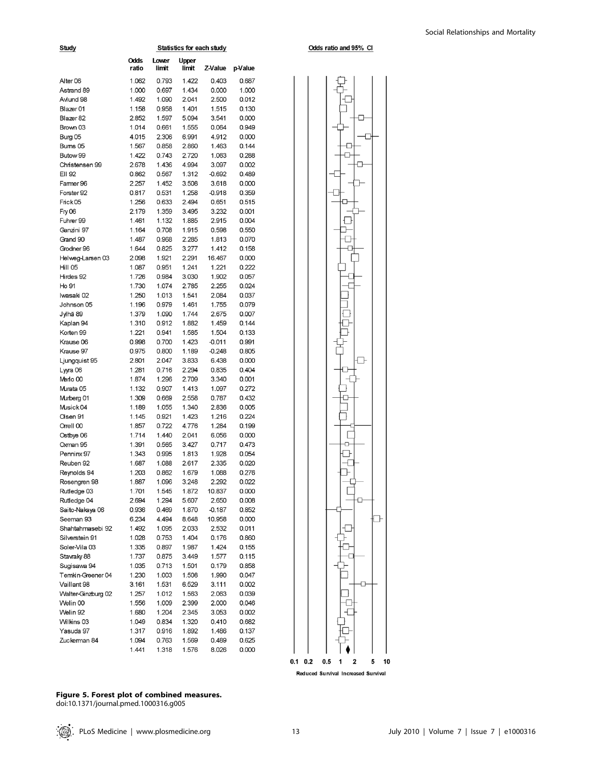| Study                       |                |                |                |                |                |
|-----------------------------|----------------|----------------|----------------|----------------|----------------|
|                             | Odds<br>ratio  | Lower<br>limit | Upper<br>limit | Z-Value        | p-Value        |
| Alter <sub>06</sub>         | 1.062          | 0.793          | 1.422          | 0.403          | 0.687          |
| Astrand 89                  | 1.000          | 0.697          | 1.434          | 0.000          | 1.000          |
| Avlund 98                   | 1.492          | 1.090          | 2.041          | 2.500          | 0.012          |
| Blazer <sub>01</sub>        | 1.158          | 0.958          | 1.401          | 1.515          | 0.130          |
| Blazer 82                   | 2.852          | 1.597          | 5.094          | 3.541          | 0.000          |
| Brown 03                    | 1.014          | 0.661          | 1.555          | 0.064          | 0.949          |
| Burg 05                     | 4.015          | 2.306          | 6.991          | 4.912          | 0.000          |
| Bums 05                     | 1.567          | 0.858          | 2.860          | 1.463          | 0.144          |
| Butow 99                    | 1.422          | 0.743          | 2.720          | 1.063          | 0.288          |
| Christensen 99              | 2.678          | 1.436          | 4.994          | 3.097          | 0.002          |
| EII 92                      | 0.862          | 0.567          | 1.312          | $-0.692$       | 0.489          |
| Farmer 96                   | 2.257          | 1.452          | 3.508          | 3.618          | 0.000          |
| Forster 92                  | 0.817          | 0.531          | 1.258          | $-0.918$       | 0.359          |
| Frick <sub>05</sub>         | 1.256<br>2.179 | 0.633<br>1.359 | 2.494<br>3.495 | 0.651<br>3.232 | 0.515<br>0.001 |
| <b>Fry 06</b><br>Fuhrer 99  | 1.461          | 1.132          | 1.885          | 2.915          | 0.004          |
| Ganzini 97                  | 1.164          | 0.708          | 1.915          | 0.598          | 0.550          |
| Grand 90                    | 1.487          | 0.968          | 2.285          | 1.813          | 0.070          |
| Grodner 96                  | 1.644          | 0.825          | 3.277          | 1.412          | 0.158          |
| Helweg-Larsen 03            | 2.098          | 1.921          | 2.291          | 16.467         | 0.000          |
| Hill 05                     | 1.087          | 0.951          | 1.241          | 1.221          | 0.222          |
| Hirdes 92                   | 1.726          | 0.984          | 3.030          | 1.902          | 0.057          |
| Ho 91                       | 1.730          | 1.074          | 2.785          | 2.255          | 0.024          |
| Iwasaki 02                  | 1.250          | 1.013          | 1.541          | 2.084          | 0.037          |
| Johnson 05                  | 1.196          | 0.979          | 1.461          | 1.755          | 0.079          |
| Jylhä 89                    | 1.379          | 1.090          | 1.744          | 2.675          | 0.007          |
| Kaplan 94                   | 1.310          | 0.912          | 1.882          | 1.459          | 0.144          |
| Korten 99                   | 1.221          | 0.941          | 1.585          | 1.504          | 0.133          |
| Krause 06                   | 0.998          | 0.700          | 1.423          | $-0.011$       | 0.991          |
| Krause 97                   | 0.975          | 0.800          | 1.189          | $-0.248$       | 0.805          |
| Ljungquist 95               | 2.801          | 2.047          | 3.833          | 6.438          | 0.000          |
| Lyyra 06                    | 1.281          | 0.716          | 2.294          | 0.835          | 0.404          |
| Merio 00                    | 1.874          | 1.296          | 2.709          | 3.340          | 0.001          |
| Murata 05                   | 1.132          | 0.907          | 1.413          | 1.097          | 0.272          |
| Murberg 01                  | 1.309          | 0.669          | 2.558          | 0.787          | 0.432          |
| Musick 04                   | 1.189          | 1.055          | 1.340          | 2.836          | 0.005          |
| Olsen 91                    | 1.145          | 0.921          | 1.423          | 1.216          | 0.224          |
| Orrell 00                   | 1.857          | 0.722          | 4.776          | 1.284          | 0.199          |
| Ostbye 06                   | 1.714          | 1.440          | 2.041          | 6.056          | 0.000          |
| Oxman 95                    | 1.391          | 0.565          | 3.427          | 0.717          | 0.473          |
| Penninx 97                  | 1.343          | 0.995          | 1.813          | 1.928          | 0.054          |
| Reuben 92                   | 1.687<br>1.203 | 1.088<br>0.862 | 2.617          | 2.335<br>1.088 | 0.020          |
| Reynolds 94<br>Rosengren 98 |                |                | 1.679          | 2.292          | 0.276          |
| Rutledge 03                 | 1.887<br>1.701 | 1.096<br>1.545 | 3.248<br>1.872 | 10.837         | 0.022<br>0.000 |
| Rutledge 04                 | 2.694          | 1.294          | 5.607          | 2.650          | 0.008          |
| Saito-Nakaya 06             | 0.936          | 0.469          | 1.870          | $-0.187$       | 0.852          |
| Seeman 93                   | 6.234          | 4.494          | 8.648          | 10.958         | 0.000          |
| Shahtahmasebi 92            | 1.492          | 1.095          | 2.033          | 2.532          | 0.011          |
| Silverstein 91              | 1.028          | 0.753          | 1.404          | 0.176          | 0.860          |
| Soler-Vila 03               | 1.335          | 0.897          | 1.987          | 1.424          | 0.155          |
| Stavraky 88                 | 1.737          | 0.875          | 3.449          | 1.577          | 0.115          |
| Sugisawa 94                 | 1.035          | 0.713          | 1.501          | 0.179          | 0.858          |
| Temkin-Greener 04           | 1.230          | 1.003          | 1.508          | 1.990          | 0.047          |
| Vaillant 98                 | 3.161          | 1.531          | 6.529          | 3.111          | 0.002          |
| Walter-Ginzburg 02          | 1.257          | 1.012          | 1.563          | 2.063          | 0.039          |
| Welin 00                    | 1.556          | 1.009          | 2.399          | 2.000          | 0.046          |
| Welin 92                    | 1.680          | 1.204          | 2.345          | 3.053          | 0.002          |
| Wilkins 03                  | 1.049          | 0.834          | 1.320          | 0.410          | 0.682          |
| Yasuda 97                   | 1.317          | 0.916          | 1.892          | 1.486          | 0.137          |
| Zuckerman 84                | 1.094          | 0.763          | 1.569          | 0.489          | 0.625          |
|                             | 1.441          | 1.318          | 1.576          | 8.026          | 0.000          |





Reduced Survival Increased Survival

Figure 5. Forest plot of combined measures. doi:10.1371/journal.pmed.1000316.g005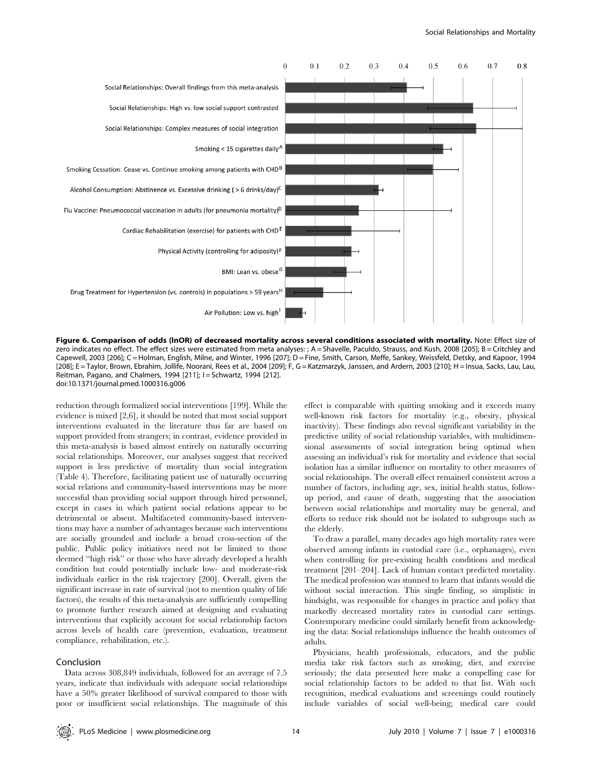

Figure 6. Comparison of odds (lnOR) of decreased mortality across several conditions associated with mortality. Note: Effect size of zero indicates no effect. The effect sizes were estimated from meta analyses: ; A = Shavelle, Paculdo, Strauss, and Kush, 2008 [205]; B = Critchley and Capewell, 2003 [206]; C = Holman, English, Milne, and Winter, 1996 [207]; D = Fine, Smith, Carson, Meffe, Sankey, Weissfeld, Detsky, and Kapoor, 1994 [208]; E = Taylor, Brown, Ebrahim, Jollife, Noorani, Rees et al., 2004 [209]; F, G = Katzmarzyk, Janssen, and Ardern, 2003 [210]; H = Insua, Sacks, Lau, Lau, Reitman, Pagano, and Chalmers, 1994 [211]; I = Schwartz, 1994 [212]. doi:10.1371/journal.pmed.1000316.g006

reduction through formalized social interventions [199]. While the evidence is mixed [2,6], it should be noted that most social support interventions evaluated in the literature thus far are based on support provided from strangers; in contrast, evidence provided in this meta-analysis is based almost entirely on naturally occurring social relationships. Moreover, our analyses suggest that received support is less predictive of mortality than social integration (Table 4). Therefore, facilitating patient use of naturally occurring social relations and community-based interventions may be more successful than providing social support through hired personnel, except in cases in which patient social relations appear to be detrimental or absent. Multifaceted community-based interventions may have a number of advantages because such interventions are socially grounded and include a broad cross-section of the public. Public policy initiatives need not be limited to those deemed ''high risk'' or those who have already developed a health condition but could potentially include low- and moderate-risk individuals earlier in the risk trajectory [200]. Overall, given the significant increase in rate of survival (not to mention quality of life factors), the results of this meta-analysis are sufficiently compelling to promote further research aimed at designing and evaluating interventions that explicitly account for social relationship factors across levels of health care (prevention, evaluation, treatment compliance, rehabilitation, etc.).

# Conclusion

Data across 308,849 individuals, followed for an average of 7.5 years, indicate that individuals with adequate social relationships have a 50% greater likelihood of survival compared to those with poor or insufficient social relationships. The magnitude of this effect is comparable with quitting smoking and it exceeds many well-known risk factors for mortality (e.g., obesity, physical inactivity). These findings also reveal significant variability in the predictive utility of social relationship variables, with multidimensional assessments of social integration being optimal when assessing an individual's risk for mortality and evidence that social isolation has a similar influence on mortality to other measures of social relationships. The overall effect remained consistent across a number of factors, including age, sex, initial health status, followup period, and cause of death, suggesting that the association between social relationships and mortality may be general, and efforts to reduce risk should not be isolated to subgroups such as the elderly.

To draw a parallel, many decades ago high mortality rates were observed among infants in custodial care (i.e., orphanages), even when controlling for pre-existing health conditions and medical treatment [201–204]. Lack of human contact predicted mortality. The medical profession was stunned to learn that infants would die without social interaction. This single finding, so simplistic in hindsight, was responsible for changes in practice and policy that markedly decreased mortality rates in custodial care settings. Contemporary medicine could similarly benefit from acknowledging the data: Social relationships influence the health outcomes of adults.

Physicians, health professionals, educators, and the public media take risk factors such as smoking, diet, and exercise seriously; the data presented here make a compelling case for social relationship factors to be added to that list. With such recognition, medical evaluations and screenings could routinely include variables of social well-being; medical care could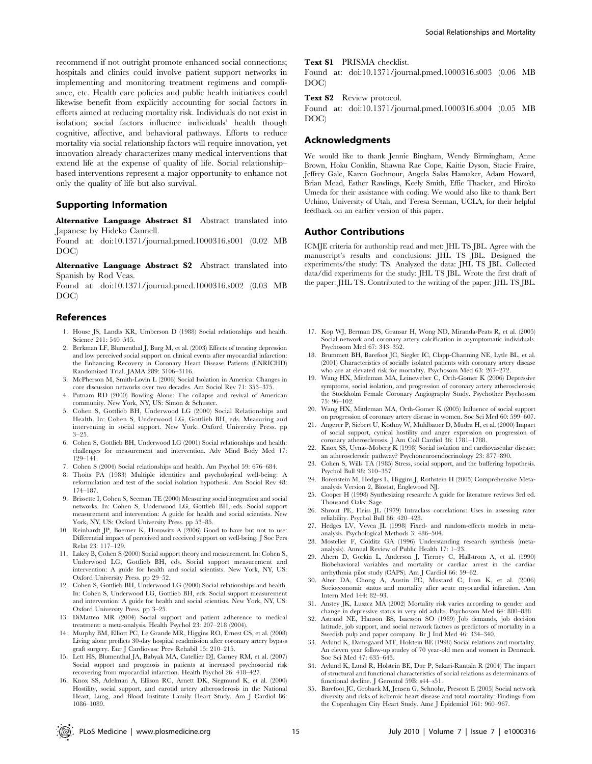recommend if not outright promote enhanced social connections; hospitals and clinics could involve patient support networks in implementing and monitoring treatment regimens and compliance, etc. Health care policies and public health initiatives could likewise benefit from explicitly accounting for social factors in efforts aimed at reducing mortality risk. Individuals do not exist in isolation; social factors influence individuals' health though cognitive, affective, and behavioral pathways. Efforts to reduce mortality via social relationship factors will require innovation, yet innovation already characterizes many medical interventions that extend life at the expense of quality of life. Social relationship– based interventions represent a major opportunity to enhance not only the quality of life but also survival.

# Supporting Information

Alternative Language Abstract S1 Abstract translated into Japanese by Hideko Cannell.

Found at: doi:10.1371/journal.pmed.1000316.s001 (0.02 MB DOC)

Alternative Language Abstract S2 Abstract translated into Spanish by Rod Veas.

Found at: doi:10.1371/journal.pmed.1000316.s002 (0.03 MB DOC)

# References

- 1. House JS, Landis KR, Umberson D (1988) Social relationships and health. Science 241: 540–545.
- 2. Berkman LF, Blumenthal J, Burg M, et al. (2003) Effects of treating depression and low perceived social support on clinical events after myocardial infarction: the Enhancing Recovery in Coronary Heart Disease Patients (ENRICHD) Randomized Trial. JAMA 289: 3106–3116.
- 3. McPherson M, Smith-Lovin L (2006) Social Isolation in America: Changes in core discussion networks over two decades. Am Sociol Rev 71: 353–375.
- 4. Putnam RD (2000) Bowling Alone: The collapse and revival of American community. New York, NY, US: Simon & Schuster.
- 5. Cohen S, Gottlieb BH, Underwood LG (2000) Social Relationships and Health. In: Cohen S, Underwood LG, Gottlieb BH, eds. Measuring and intervening in social support. New York: Oxford University Press. pp 3–25.
- 6. Cohen S, Gottlieb BH, Underwood LG (2001) Social relationships and health: challenges for measurement and intervention. Adv Mind Body Med 17: 129–141.
- 7. Cohen S (2004) Social relationships and health. Am Psychol 59: 676–684.
- 8. Thoits PA (1983) Multiple identities and psychological well-being: A reformulation and test of the social isolation hypothesis. Am Sociol Rev 48: 174–187.
- 9. Brissette I, Cohen S, Seeman TE (2000) Measuring social integration and social networks. In: Cohen S, Underwood LG, Gottlieb BH, eds. Social support measurement and intervention: A guide for health and social scientists. New York, NY, US: Oxford University Press. pp 53–85.
- 10. Reinhardt JP, Boerner K, Horowitz A (2006) Good to have but not to use: Differential impact of perceived and received support on well-being. J Soc Pers Relat 23: 117–129.
- 11. Lakey B, Cohen S (2000) Social support theory and measurement. In: Cohen S, Underwood LG, Gottlieb BH, eds. Social support measurement and intervention: A guide for health and social scientists. New York, NY, US: Oxford University Press. pp 29–52.
- 12. Cohen S, Gottlieb BH, Underwood LG (2000) Social relationships and health. In: Cohen S, Underwood LG, Gottlieb BH, eds. Social support measurement and intervention: A guide for health and social scientists. New York, NY, US: Oxford University Press. pp 3–25.
- 13. DiMatteo MR (2004) Social support and patient adherence to medical treatment: a meta-analysis. Health Psychol 23: 207–218 (2004).
- 14. Murphy BM, Elliott PC, Le Grande MR, Higgins RO, Ernest CS, et al. (2008) Living alone predicts 30-day hospital readmission after coronary artery bypass graft surgery. Eur J Cardiovasc Prev Rehabil 15: 210–215.
- 15. Lett HS, Blumenthal JA, Babyak MA, Catellier DJ, Carney RM, et al. (2007) Social support and prognosis in patients at increased psychosocial risk recovering from myocardial infarction. Health Psychol 26: 418–427.
- 16. Knox SS, Adelman A, Ellison RC, Arnett DK, Siegmund K, et al. (2000) Hostility, social support, and carotid artery atherosclerosis in the National Heart, Lung, and Blood Institute Family Heart Study. Am J Cardiol 86: 1086–1089.

#### Text S1 PRISMA checklist.

Found at: doi:10.1371/journal.pmed.1000316.s003 (0.06 MB DOC)

Text S2 Review protocol.

Found at: doi:10.1371/journal.pmed.1000316.s004 (0.05 MB DOC)

#### Acknowledgments

We would like to thank Jennie Bingham, Wendy Birmingham, Anne Brown, Hoku Conklin, Shawna Rae Cope, Kaitie Dyson, Stacie Fraire, Jeffrey Gale, Karen Gochnour, Angela Salas Hamaker, Adam Howard, Brian Mead, Esther Rawlings, Keely Smith, Effie Thacker, and Hiroko Umeda for their assistance with coding. We would also like to thank Bert Uchino, University of Utah, and Teresa Seeman, UCLA, for their helpful feedback on an earlier version of this paper.

# Author Contributions

ICMJE criteria for authorship read and met: JHL TS JBL. Agree with the manuscript's results and conclusions: JHL TS JBL. Designed the experiments/the study: TS. Analyzed the data: JHL TS JBL. Collected data/did experiments for the study: JHL TS JBL. Wrote the first draft of the paper: JHL TS. Contributed to the writing of the paper: JHL TS JBL.

- 17. Kop WJ, Berman DS, Gransar H, Wong ND, Miranda-Peats R, et al. (2005) Social network and coronary artery calcification in asymptomatic individuals. Psychosom Med 67: 343–352.
- 18. Brummett BH, Barefoot JC, Siegler IC, Clapp-Channing NE, Lytle BL, et al. (2001) Characteristics of socially isolated patients with coronary artery disease who are at elevated risk for mortality. Psychosom Med 63: 267–272.
- 19. Wang HX, Mittleman MA, Leineweber C, Orth-Gomer K (2006) Depressive symptoms, social isolation, and progression of coronary artery atherosclerosis: the Stockholm Female Coronary Angiography Study. Psychother Psychosom 75: 96–102.
- 20. Wang HX, Mittleman MA, Orth-Gomer K (2005) Influence of social support on progression of coronary artery disease in women. Soc Sci Med 60: 599–607.
- 21. Angerer P, Siebert U, Kothny W, Muhlbauer D, Mudra H, et al. (2000) Impact of social support, cynical hostility and anger expression on progression of coronary atherosclerosis. J Am Coll Cardiol 36: 1781–1788.
- 22. Knox SS, Uvnas-Moberg K (1998) Social isolation and cardiovascular disease: an atherosclerotic pathway? Psychoneuroendocrinology 23: 877–890.
- 23. Cohen S, Wills TA (1985) Stress, social support, and the buffering hypothesis. Psychol Bull 98: 310–357.
- 24. Borenstein M, Hedges L, Higgins J, Rothstein H (2005) Comprehensive Metaanalysis Version 2, Biostat, Englewood NJ.
- 25. Cooper H (1998) Synthesizing research: A guide for literature reviews 3rd ed. Thousand Oaks: Sage.
- 26. Shrout PE, Fleiss  $\check{\mathrm{JL}}$  (1979) Intraclass correlations: Uses in assessing rater reliability. Psychol Bull 86: 420–428.
- 27. Hedges LV, Vevea JL (1998) Fixed- and random-effects models in metaanalysis. Psychological Methods 3: 486–504.
- 28. Mosteller F, Colditz GA (1996) Understanding research synthesis (metaanalysis). Annual Review of Public Health 17: 1–23.
- 29. Ahern D, Gorkin L, Anderson J, Tierney C, Hallstrom A, et al. (1990) Biobehavioral variables and mortality or cardiac arrest in the cardiac arrhythmia pilot study (CAPS). Am J Cardiol 66: 59–62.
- 30. Alter DA, Chong A, Austin PC, Mustard C, Iron K, et al. (2006) Socioeconomic status and mortality after acute myocardial infarction. Ann Intern Med 144: 82–93.
- 31. Anstey JK, Luszcz MA (2002) Mortality risk varies according to gender and change in depressive status in very old adults. Psychosom Med 64: 880–888.
- 32. Astrand NE, Hanson BS, Isacsson SO (1989) Job demands, job decision latitude, job support, and social network factors as predictors of mortality in a Swedish pulp and paper company. Br J Ind Med 46: 334–340.
- 33. Avlund K, Damsgaard MT, Holstein BE (1998) Social relations and mortality. An eleven year follow-up studey of 70 year-old men and women in Denmark. Soc Sci Med 47: 635–643.
- 34. Avlund K, Lund R, Holstein BE, Due P, Sakari-Rantala R (2004) The impact of structural and functional characteristics of social relations as determinants of functional decline. J Gerontol 59B: s44–s51.
- 35. Barefoot JC, Grobaek M, Jensen G, Schnohr, Prescott E (2005) Social network diversity and risks of ischemic heart disease and total mortality: Findings from the Copenhagen City Heart Study. Ame J Epidemiol 161: 960–967.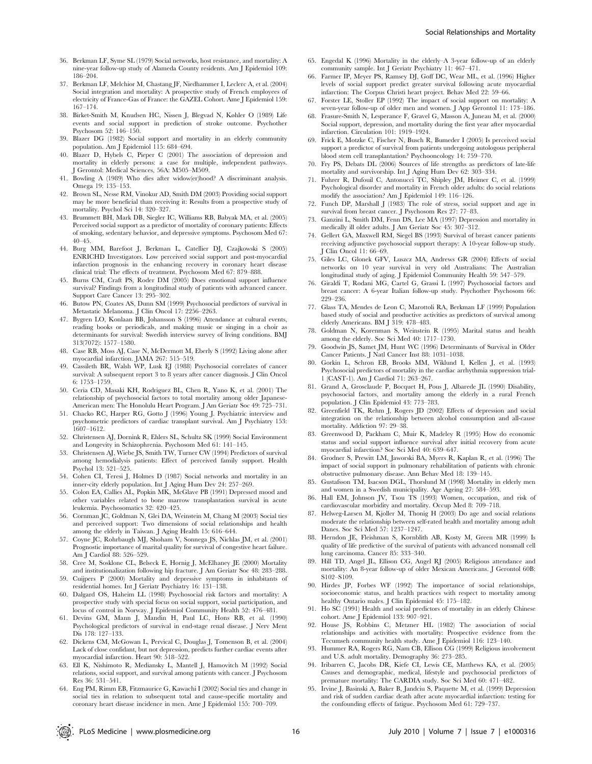- 36. Berkman LF, Syme SL (1979) Social networks, host resistance, and mortality: A nine-year follow-up study of Alameda County residents. Am J Epidemiol 109: 186–204.
- 37. Berkman LF, Melchior M, Chastang JF, Niedhammer I, Leclerc A, et al. (2004) Social integration and mortality: A prospective study of French employees of electricity of France-Gas of France: the GAZEL Cohort. Ame J Epidemiol 159: 167–174.
- 38. Birket-Smith M, Knudsen HC, Nissen J, Blegvad N, Køhler O (1989) Life events and social support in prediction of stroke outcome. Psychother Psychosom 52: 146–150.
- 39. Blazer DG (1982) Social support and mortality in an elderly community population. Am J Epidemiol 115: 684–694.
- 40. Blazer D, Hybels C, Pieper C (2001) The association of depression and mortality in elderly persons: a case for multiple, independent pathways. J Gerontol: Medical Sciences, 56A: M505–M509.
- 41. Bowling A (1989) Who dies after widow(er)hood? A discriminant analysis. Omega 19: 135–153.
- 42. Brown SL, Nesse RM, Vinokur AD, Smith DM (2003) Providing social support may be more beneficial than receiving it: Results from a prospective study of mortality. Psychol Sci 14: 320–327.
- 43. Brummett BH, Mark DB, Siegler IC, Williams RB, Babyak MA, et al. (2005) Perceived social support as a predictor of mortality of coronary patients: Effects of smoking, sedentary behavior, and depressive symptoms. Psychosom Med 67: 40–45.
- 44. Burg MM, Barefoot J, Berkman L, Catellier DJ, Czajkowski S (2005) ENRICHD Investigators. Low perceived social support and post-myocardial infarction prognosis in the enhancing recovery in coronary heart disease clinical trial: The effects of treatment. Psychosom Med 67: 879–888.
- 45. Burns CM, Craft PS, Roder DM (2005) Does emotional support influence survival? Findings from a longitudinal study of patients with advanced cancer. Support Care Cancer 13: 295–302.
- 46. Butow PN, Coates AS, Dunn SM (1999) Psychosocial predictors of survival in Metastatic Melanoma. J Clin Oncol 17: 2256–2263.
- 47. Bygren LO, Konlaan BB, Johansson S (1996) Attendance at cultural events, reading books or periodicals, and making music or singing in a choir as determinants for survival: Swedish interview survey of living conditions. BMJ 313(7072): 1577–1580.
- 48. Case RB, Moss AJ, Case N, McDermott M, Eberly S (1992) Living alone after myocardial infarction. JAMA 267: 515–519.
- 49. Cassileth BR, Walsh WP, Lusk EJ (1988) Psychosocial correlates of cancer survival: A subsequent report 3 to 8 years after cancer diagnosis. J Clin Oncol 6: 1753–1759.
- 50. Ceria CD, Masaki KH, Rodriguez BL, Chen R, Yano K, et al. (2001) The relationship of psychosocial factors to total mortality among older Japanese-American men: The Honolulu Heart Program. J Am Geriatr Soc 49: 725–731.
- 51. Chacko RC, Harper RG, Gotto J (1996) Young J. Psychiatric interview and psychometric predictors of cardiac transplant survival. Am J Psychiatry 153: 1607–1612.
- 52. Christensen AJ, Dornink R, Ehlers SL, Schultz SK (1999) Social Environment and Longevity in Schizophrenia. Psychosom Med 61: 141–145.
- 53. Christensen AJ, Wiebe JS, Smith TW, Turner CW (1994) Predictors of survival among hemodialysis patients: Effect of perceived family support. Health Psychol 13: 521–525.
- 54. Cohen CI, Teresi J, Holmes D (1987) Social networks and mortality in an inner-city elderly population. Int J Aging Hum Dev 24: 257–269.
- 55. Colon EA, Callies AL, Popkin MK, McGlave PB (1991) Depressed mood and other variables related to bone marrow transplantation survival in acute leukemia. Psychosomatics 32: 420–425.
- 56. Cornman JC, Goldman N, Glei DA, Weinstein M, Chang M (2003) Social ties and perceived support: Two dimensions of social relationships and health among the elderly in Taiwan. J Aging Health 15: 616–644.
- 57. Coyne JC, Rohrbaugh MJ, Shoham V, Sonnega JS, Nichlas JM, et al. (2001) Prognostic importance of marital quality for survival of congestive heart failure. Am J Cardiol 88: 526–529.
- 58. Cree M, Sosklone CL, Belseck E, Hornig J, McElhaney JE (2000) Mortality and institutionalization following hip fracture. J Am Geriatr Soc 48: 283–288.
- 59. Cuijpers P (2000) Mortality and depressive symptoms in inhabitants of residential homes. Int J Geriatr Psychiatry 16: 131–138.
- 60. Dalgard OS, Haheim LL (1998) Psychosocial risk factors and mortality: A prospective study with special focus on social support, social participation, and locus of control in Norway. J Epidemiol Community Health 52: 476–481.
- 61. Devins GM, Mann J, Mandin H, Paul LC, Hons RB, et al. (1990) Psychological predictors of survival in end-stage renal disease. J Nerv Ment Dis 178: 127–133.
- 62. Dickens CM, McGowan L, Pervical C, Douglas J, Tomenson B, et al. (2004) Lack of close confidant, but not depression, predicts further cardiac events after myocardial infarction. Heart 90: 518–522.
- 63. Ell K, Nishimoto R, Mediansky L, Mantell J, Hamovitch M (1992) Social relations, social support, and survival among patients with cancer. J Psychosom Res 36: 531–541.
- 64. Eng PM, Rimm EB, Fitzmaurice G, Kawachi I (2002) Social ties and change in social ties in relation to subsequent total and cause-specific mortality and coronary heart disease incidence in men. Ame J Epidemiol 155: 700–709.
- 65. Engedal K (1996) Mortality in the elderly–A 3-year follow-up of an elderly community sample. Int J Geriatr Psychiatry 11: 467–471.
- 66. Farmer IP, Meyer PS, Ramsey DJ, Goff DC, Wear ML, et al. (1996) Higher levels of social support predict greater survival following acute myocardial infarction: The Corpus Christi heart project. Behav Med 22: 59–66.
- 67. Forster LE, Stoller EP (1992) The impact of social support on mortality: A seven-year follow-up of older men and women. J App Gerontol 11: 173–186.
- 68. Frasure-Smith N, Lesperance F, Gravel G, Masson A, Juneau M, et al. (2000) Social support, depression, and mortality during the first year after myocardial infarction. Circulation 101: 1919–1924.
- 69. Frick E, Motzke C, Fischer N, Busch R, Bumeder I (2005) Is perceived social support a predictor of survival from patients undergoing autologous peripheral blood stem cell transplantation? Psychooncology 14: 759–770.
- 70. Fry PS, Debats DL (2006) Sources of life strengths as predictors of late-life mortality and survivorship. Int J Aging Hum Dev 62: 303–334.
- 71. Fuhrer R, Dufouil C, Antonucci TC, Shipley JM, Heimer C, et al. (1999) Psychological disorder and mortality in French older adults: do social relations modify the association? Am J Epidemiol 149: 116–126.
- 72. Funch DP, Marshall J (1983) The role of stress, social support and age in survival from breast cancer. J Psychosom Res 27: 77–83.
- 73. Ganzini L, Smith DM, Fenn DS, Lee MA (1997) Depression and mortality in medically ill older adults. J Am Geriatr Soc 45: 307–312.
- 74. Gellert GA, Maxwell RM, Siegel BS (1993) Survival of breast cancer patients receiving adjunctive psychosocial support therapy: A 10-year follow-up study. J Clin Oncol 11: 66–69.
- 75. Giles LC, Glonek GFV, Luszcz MA, Andrews GR (2004) Effects of social networks on 10 year survival in very old Australians: The Australian longitudinal study of aging. J Epidemiol Community Health 59: 547–579.
- 76. Giraldi T, Rodani MG, Cartel G, Grassi L (1997) Psychosocial factors and breast cancer: A 6-year Italian follow-up study. Psychother Psychosom 66: 229–236.
- 77. Glass TA, Mendes de Leon C, Marottoli RA, Berkman LF (1999) Population based study of social and productive activities as predictors of survival among elderly Americans. BM J 319: 478–483.
- 78. Goldman N, Korenman S, Weinstein R (1995) Marital status and health among the elderly. Soc Sci Med 40: 1717–1730.
- 79. Goodwin JS, Samet JM, Hunt WC (1996) Determinants of Survival in Older Cancer Patients. J Natl Cancer Inst 88: 1031–1038.
- 80. Gorkin L, Schron EB, Brooks MM, Wiklund I, Kellen J, et al. (1993) Psychosocial predictors of mortality in the cardiac arrhythmia suppression trial-1 (CAST-1). Am J Cardiol 71: 263–267.
- 81. Grand A, Grosclaude P, Bocquet H, Pous J, Albarede JL (1990) Disability, psychosocial factors, and mortality among the elderly in a rural French population. J Clin Epidemiol 43: 773–783.
- 82. Greenfield TK, Rehm J, Rogers JD (2002) Effects of depression and social integration on the relationship between alcohol consumption and all-cause mortality. Addiction 97: 29–38.
- 83. Greenwood D, Packham C, Muir K, Madeley R (1995) How do economic status and social support influence survival after initial recovery from acute myocardial infarction? Soc Sci Med 40: 639–647.
- 84. Grodner S, Prewitt LM, Jaworski BA, Myers R, Kaplan R, et al. (1996) The impact of social support in pulmonary rehabilitation of patients with chronic obstructive pulmonary disease. Ann Behav Med 18: 139–145.
- 85. Gustafsson TM, Isacson DGL, Thorslund M (1998) Mortality in elderly men and women in a Swedish municipality. Age Ageing 27: 584–593.
- 86. Hall EM, Johnson JV, Tsou TS (1993) Women, occupation, and risk of cardiovascular morbidity and mortality. Occup Med 8: 709–718.
- 87. Helweg-Larsen M, Kjoller M, Thonig H (2003) Do age and social relations moderate the relationship between self-rated health and mortality among adult Danes. Soc Sci Med 57: 1237–1247.
- 88. Herndon JE, Fleishman S, Kornblith AB, Kosty M, Green MR (1999) Is quality of life predictive of the survival of patients with advanced nonsmall cell lung carcinoma. Cancer 85: 333–340.
- 89. Hill TD, Angel JL, Ellison CG, Angel RJ (2005) Religious attendance and mortality: An 8-year follow-up of older Mexican Americans. J Gerontol 60B: S102–S109.
- 90. Hirdes JP, Forbes WF (1992) The importance of social relationships, socioeconomic status, and health practices with respect to mortality among healthy Ontario males. J Clin Epidemiol 45: 175–182.
- 91. Ho SC (1991) Health and social predictors of mortality in an elderly Chinese cohort. Ame J Epidemiol 133: 907–921.
- 92. House JS, Robbins C, Metzner HL (1982) The association of social relationships and activities with mortality: Prospective evidence from the Tecumseh community health study. Ame J Epidemiol 116: 123–140.
- 93. Hummer RA, Rogers RG, Nam CB, Ellison CG (1999) Religious involvement and U.S. adult mortality. Demography 36: 273–285.
- 94. Iribarren C, Jacobs DR, Kiefe CI, Lewis CE, Matthews KA, et al. (2005) Causes and demographic, medical, lifestyle and psychosocial predictors of premature mortality: The CARDIA study. Soc Sci Med 60: 471–482.
- 95. Irvine J, Basinski A, Baker B, Jandciu S, Paquette M, et al. (1999) Depression and risk of sudden cardiac death after acute myocardial infarction: testing for the confounding effects of fatigue. Psychosom Med 61: 729–737.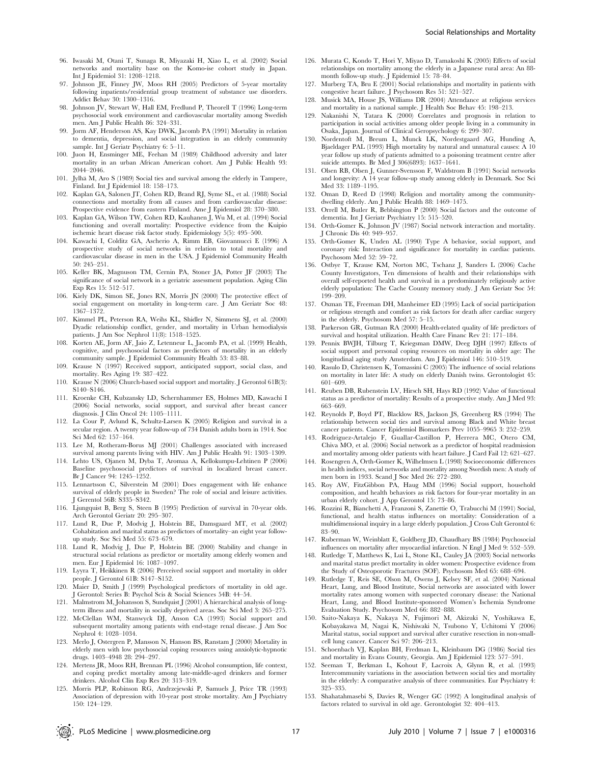- 96. Iwasaki M, Otani T, Sunaga R, Miyazaki H, Xiao L, et al. (2002) Social networks and mortality base on the Komo-ise cohort study in Japan. Int J Epidemiol 31: 1208–1218.
- 97. Johnson JE, Finney JW, Moos RH (2005) Predictors of 5-year mortality following inpatients/residential group treatment of substance use disorders. Addict Behav 30: 1300–1316.
- 98. Johnson JV, Stewart W, Hall EM, Fredlund P, Theorell T (1996) Long-term psychosocial work environment and cardiovascular mortality among Swedish men. Am J Public Health 86: 324–331.
- 99. Jorm AF, Henderson AS, Kay DWK, Jacomb PA (1991) Mortality in relation to dementia, depression, and social integration in an elderly community sample. Int J Geriatr Psychiatry 6: 5-11.
- 100. Juon H, Ensminger ME, Feehan M (1989) Childhood adversity and later mortality in an urban African American cohort. Am J Public Health 93: 2044–2046.
- 101. Jylhä M, Aro S (1989) Social ties and survival among the elderly in Tampere, Finland. Int J Epidemiol 18: 158–173.
- 102. Kaplan GA, Salonen JT, Cohen RD, Brand RJ, Syme SL, et al. (1988) Social connections and mortality from all causes and from cardiovascular disease: Prospective evidence from eastern Finland. Ame J Epidemiol 28: 370–380.
- 103. Kaplan GA, Wilson TW, Cohen RD, Kauhanen J, Wu M, et al. (1994) Social functioning and overall mortality: Prospective evidence from the Kuipio ischemic heart disease risk factor study. Epidemiology 5(5): 495–500.
- 104. Kawachi I, Colditz GA, Ascherio A, Rimm EB, Giovannucci E (1996) A prospective study of social networks in relation to total mortality and cardiovascular disease in men in the USA. J Epidemiol Community Health 50: 245–251.
- 105. Keller BK, Magnuson TM, Cernin PA, Stoner JA, Potter JF (2003) The significance of social network in a geriatric assessment population. Aging Clin Exp Res 15: 512–517.
- 106. Kiely DK, Simon SE, Jones RN, Morris JN (2000) The protective effect of social engagement on mortality in long-term care. J Am Geriatr Soc 48: 1367–1372.
- 107. Kimmel PL, Peterson RA, Weihs KL, Shidler N, Simmens SJ, et al. (2000) Dyadic relationship conflict, gender, and mortality in Urban hemodialysis patients. J Am Soc Nephrol 11(8): 1518–1525.
- 108. Korten AE, Jorm AF, Jaio Z, Letenneur L, Jacomb PA, et al. (1999) Health, cognitive, and psychosocial factors as predictors of mortality in an elderly community sample. J Epidemiol Community Health 53: 83–88.
- 109. Krause N (1997) Received support, anticipated support, social class, and mortality. Res Aging 19: 387–422.
- 110. Krause N (2006) Church-based social support and mortality. J Gerontol 61B(3): S140–S146.
- 111. Kroenke CH, Kubzansky LD, Schernhammer ES, Holmes MD, Kawachi I (2006) Social networks, social support, and survival after breast cancer diagnosis. J Clin Oncol 24: 1105–1111.
- 112. La Cour P, Avlund K, Schultz-Larsen K (2005) Religion and survival in a secular region. A twenty year follow-up of 734 Danish adults born in 1914. Soc Sci Med 62: 157–164.
- 113. Lee M, Rotheram-Borus MJ (2001) Challenges associated with increased survival among parents living with HIV. Am J Public Health 91: 1303–1309.
- 114. Lehto US, Ojanen M, Dyba T, Aromaa A, Kellokumpu-Lehtinen P (2006) Baseline psychosocial predictors of survival in localized breast cancer. Br J Cancer 94: 1245–1252.
- 115. Lennartsson C, Silverstein M (2001) Does engagement with life enhance survival of elderly people in Sweden? The role of social and leisure activities. J Gerentol 56B: S335–S342.
- 116. Ljungquist B, Berg S, Steen B (1995) Prediction of survival in 70-year olds. Arch Gerontol Geriatr 20: 295–307.
- 117. Lund R, Due P, Modvig J, Holstein BE, Damsgaard MT, et al. (2002) Cohabitation and marital status as predictors of mortality–an eight year followup study. Soc Sci Med 55: 673–679.
- 118. Lund R, Modvig J, Due P, Holstein BE (2000) Stability and change in structural social relations as predictor or mortality among elderly women and men. Eur J Epidemiol 16: 1087–1097.
- 119. Lyyra T, Heikkinen R (2006) Perceived social support and mortality in older people. J Gerontol 61B: S147–S152.
- 120. Maier D, Smith J (1999) Psychological predictors of mortality in old age. J Gerontol: Series B: Psychol Scis & Social Sciences 54B: 44–54.
- 121. Malmstrom M, Johansson S, Sundquist J (2001) A hierarchical analysis of longterm illness and mortality in socially deprived areas. Soc Sci Med 3: 265–275.
- 122. McClellan WM, Stanwyck DJ, Anson CA (1993) Social support and subsequent mortality among patients with end-stage renal disease. J Am Soc Nephrol 4: 1028–1034.
- 123. Merlo J, Ostergren P, Mansson N, Hanson BS, Ranstam J (2000) Mortality in elderly men with low psychosocial coping resources using anxiolytic-hypnotic drugs. 1403–4948 28: 294–297.
- 124. Mertens JR, Moos RH, Brennan PL (1996) Alcohol consumption, life context, and coping predict mortality among late-middle-aged drinkers and former drinkers. Alcohol Clin Exp Res 20: 313–319.
- 125. Morris PLP, Robinson RG, Andrzejewski P, Samuels J, Price TR (1993) Association of depression with 10-year post stroke mortality. Am J Psychiatry 150: 124–129.
- 126. Murata C, Kondo T, Hori Y, Miyao D, Tamakoshi K (2005) Effects of social relationships on mortality among the elderly in a Japanese rural area: An 88 month follow-up study. J Epidemiol 15: 78–84.
- 127. Murberg TA, Bru E (2001) Social relationships and mortality in patients with congestive heart failure. J Psychosom Res 51: 521–527.
- 128. Musick MA, House JS, Williams DR (2004) Attendance at religious services and mortality in a national sample. J Health Soc Behav 45: 198–213.
- 129. Nakanishi N, Tatara K (2000) Correlates and prognosis in relation to participation in social activities among older people living in a community in Osaka, Japan. Journal of Clinical Geropsychology 6: 299–307.
- 130. Nordentoft M, Breum L, Munck LK, Nordestgaard AG, Hunding A, Bjaeldager PAL (1993) High mortality by natural and unnatural causes: A 10 year follow up study of patients admitted to a poisoning treatment centre after suicide attempts. Br Med J 306(6893): 1637–1641.
- 131. Olsen RB, Olsen J, Gunner-Svensson F, Waldstrom B (1991) Social networks and longevity: A 14 year follow-up study among elderly in Denmark. Soc Sci Med 33: 1189-1195.
- 132. Oman D, Reed D (1998) Religion and mortality among the communitydwelling elderly. Am J Public Health 88: 1469–1475.
- 133. Orrell M, Butler R, Bebbington P (2000) Social factors and the outcome of dementia. Int J Geriatr Psychiatry 15: 515–520.
- 134. Orth-Gomer K, Johnson JV (1987) Social network interaction and mortality. J Chronic Dis 40: 949–957.
- 135. Orth-Gomer K, Unden AL (1990) Type A behavior, social support, and coronary risk: Interaction and significance for mortality in cardiac patients. Psychosom Med 52: 59–72.
- 136. Ostbye T, Krause KM, Norton MC, Tschanz J, Sanders L (2006) Cache County Investigators, Ten dimensions of health and their relationships with overall self-reported health and survival in a predominately religiously active elderly population: The Cache County memory study. J Am Geriatr Soc 54: 199–209.
- 137. Oxman TE, Freeman DH, Manheimer ED (1995) Lack of social participation or religious strength and comfort as risk factors for death after cardiac surgery in the elderly. Psychosom Med 57: 5–15.
- 138. Parkerson GR, Gutman RA (2000) Health-related quality of life predictors of survival and hospital utilization. Health Care Financ Rev 21: 171–184.
- 139. Pennix BWJH, Tilburg T, Kriegsman DMW, Deeg DJH (1997) Effects of social support and personal coping resources on mortality in older age: The longitudinal aging study Amsterdam. Am J Epidemiol 146: 510–519.
- 140. Rasulo D, Christensen K, Tomassini C (2005) The influence of social relations on mortality in later life: A study on elderly Danish twins. Gerontologist 45: 601–609.
- 141. Reuben DB, Rubenstein LV, Hirsch SH, Hays RD (1992) Value of functional status as a predictor of mortality: Results of a prospective study. Am J Med 93: 663–669.
- 142. Reynolds P, Boyd PT, Blacklow RS, Jackson JS, Greenberg RS (1994) The relationship between social ties and survival among Black and White breast cancer patients. Cancer Epidemiol Biomarkers Prev 1055–9965 3: 252–259.
- 143. Rodriguez-Artalejo F, Guallar-Castillon P, Herrera MC, Otero CM, Chiva MO, et al. (2006) Social network as a predictor of hospital readmission and mortality among older patients with heart failure. J Card Fail 12: 621–627.
- 144. Rosengren A, Orth-Gomer K, Wilhelmsen L (1998) Socioeconomic differences in health indices, social networks and mortality among Swedish men: A study of men born in 1933. Scand J Soc Med 26: 272-280.
- 145. Roy AW, FitzGibbon PA, Haug MM (1996) Social support, household composition, and health behaviors as risk factors for four-year mortality in an urban elderly cohort. J App Gerontol 15: 73–86.
- 146. Rozzini R, Bianchetti A, Franzoni S, Zanettie O, Trabucchi M (1991) Social, functional, and health status influences on mortality: Consideration of a multidimensional inquiry in a large elderly population. J Cross Cult Gerontol 6: 83–90.
- 147. Ruberman W, Weinblatt E, Goldberg JD, Chaudhary BS (1984) Psychosocial influences on mortality after myocardial infarction. N Engl J Med 9: 552–559.
- 148. Rutledge T, Matthews K, Lui L, Stone KL, Cauley JA (2003) Social networks and marital status predict mortality in older women: Prospective evidence from the Study of Osteoporotic Fractures (SOF). Psychosom Med 65: 688–694.
- 149. Rutledge T, Reis SE, Olson M, Owens J, Kelsey SF, et al. (2004) National Heart, Lung, and Blood Institute, Social networks are associated with lower mortality rates among women with suspected coronary disease: the National Heart, Lung, and Blood Institute-sponsored Women's Ischemia Syndrome Evaluation Study. Psychosom Med 66: 882–888.
- 150. Saito-Nakaya K, Nakaya N, Fujimori M, Akizuki N, Yoshikawa E, Kobayakawa M, Nagai K, Nishiwaki N, Tsubono Y, Uchitomi Y (2006) Marital status, social support and survival after curative resection in non-smallcell lung cancer. Cancer Sci 97: 206–213.
- 151. Schoenbach VJ, Kaplan BH, Fredman L, Kleinbaum DG (1986) Social ties and mortality in Evans County, Georgia. Am J Epidemiol 123: 577–591.
- 152. Seeman T, Berkman L, Kohout F, Lacroix A, Glynn R, et al. (1993) Intercommunity variations in the association between social ties and mortality in the elderly: A comparative analysis of three communities. Eur Psychiatry 4: 325–335.
- 153. Shahatahmasebi S, Davies R, Wenger GC (1992) A longitudinal analysis of factors related to survival in old age. Gerontologist 32: 404–413.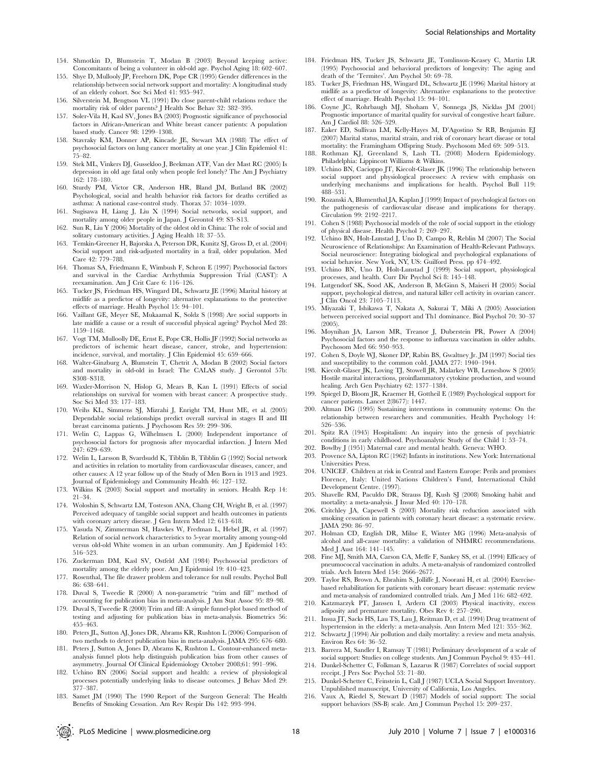- 154. Shmotkin D, Blumstein T, Modan B (2003) Beyond keeping active: Concomitants of being a volunteer in old-old age. Psychol Aging 18: 602–607.
- 155. Shye D, Mullooly JP, Freeborn DK, Pope CR (1995) Gender differences in the relationship between social network support and mortality: A longitudinal study of an elderly cohort. Soc Sci Med 41: 935–947.
- 156. Silverstein M, Bengtson VL (1991) Do close parent-child relations reduce the mortality risk of older parents? J Health Soc Behav 32: 382–395.
- 157. Soler-Vila H, Kasl SV, Jones BA (2003) Prognostic significance of psychosocial factors in African-American and White breast cancer patients: A population based study. Cancer 98: 1299–1308.
- 158. Stavraky KM, Donner AP, Kincade JE, Stewart MA (1988) The effect of psychosocial factors on lung cancer mortality at one year. J Clin Epidemiol 41: 75–82.
- 159. Stek ML, Vinkers DJ, Gussekloo J, Beekman ATF, Van der Mast RC (2005) Is depression in old age fatal only when people feel lonely? The Am J Psychiatry 162: 178–180.
- 160. Sturdy PM, Victor CR, Anderson HR, Bland JM, Butland BK (2002) Psychological, social and health behavior risk factors for deaths certified as asthma: A national case-control study. Thorax 57: 1034–1039.
- 161. Sugisawa H, Liang J, Liu X (1994) Social networks, social support, and mortality among older people in Japan. J Gerontol 49: S3–S13.
- 162. Sun R, Liu Y (2006) Mortality of the oldest old in China: The role of social and solitary customary activities. J Aging Health 18: 37–55.
- 163. Temkin-Greener H, Bajorska A, Peterson DR, Kunitz SJ, Gross D, et al. (2004) Social support and risk-adjusted mortality in a frail, older population. Med Care 42: 779–788.
- 164. Thomas SA, Friedmann E, Wimbush F, Schron E (1997) Psychosocial factors and survival in the Cardiac Arrhythmia Suppression Trial (CAST): A reexamination. Am J Crit Care 6: 116–126.
- 165. Tucker JS, Friedman HS, Wingard DL, Schwartz JE (1996) Marital history at midlife as a predictor of longevity: alternative explanations to the protective effects of marriage. Health Psychol 15: 94–101.
- 166. Vaillant GE, Meyer SE, Mukaamal K, Soldz S (1998) Are social supports in late midlife a cause or a result of successful physical ageing? Psychol Med 28: 1159–1168.
- 167. Vogt TM, Mulloolly DE, Ernst E, Pope CR, Hollis JF (1992) Social networks as predictors of ischemic heart disease, cancer, stroke, and hypertension: incidence, survival, and mortality. J Clin Epidemiol 45: 659–666.
- 168. Walter-Ginzburg A, Blumstein T, Chetrit A, Modan B (2002) Social factors and mortality in old-old in Israel: The CALAS study. J Gerontol 57b: S308–S318.
- 169. Waxler-Morrison N, Hislop G, Mears B, Kan L (1991) Effects of social relationships on survival for women with breast cancer: A prospective study. Soc Sci Med 33: 177–183.
- 170. Weihs KL, Simmens SJ, Mizrahi J, Enright TM, Hunt ME, et al. (2005) Dependable social relationships predict overall survival in stages II and III breast carcinoma patients. J Psychosom Res 59: 299–306.
- 171. Welin C, Lappas G, Wilhelmsen L (2000) Independent importance of psychosocial factors for prognosis after myocardial infarction. J Intern Med 247: 629–639.
- 172. Welin L, Larsson B, Svardsudd K, Tibblin B, Tibblin G (1992) Social network and activities in relation to mortality from cardiovascular diseases, cancer, and other causes: A 12 year follow up of the Study of Men Born in 1913 and 1923. Journal of Epidemiology and Community Health 46: 127–132.
- 173. Wilkins K (2003) Social support and mortality in seniors. Health Rep 14: 21–34.
- 174. Woloshin S, Schwartz LM, Tosteson ANA, Chang CH, Wright B, et al. (1997) Perceived adequacy of tangible social support and health outcomes in patients with coronary artery disease. J Gen Intern Med 12: 613–618.
- 175. Yasuda N, Zimmerman SI, Hawkes W, Fredman L, Hebel JR, et al. (1997) Relation of social network characteristics to 5-year mortality among young-old versus old-old White women in an urban community. Am J Epidemiol 145: 516–523.
- 176. Zuckerman DM, Kasl SV, Ostfeld AM (1984) Psychosocial predictors of mortality among the elderly poor. Am J Epidemiol 19: 410–423.
- 177. Rosenthal, The file drawer problem and tolerance for null results. Psychol Bull 86: 638–641.
- 178. Duval S, Tweedie R (2000) A non-parametric ''trim and fill'' method of accounting for publication bias in meta-analysis. J Am Stat Assoc 95: 89–98.
- 179. Duval S, Tweedie R (2000) Trim and fill: A simple funnel-plot based method of testing and adjusting for publication bias in meta-analysis. Biometrics 56: 455–463.
- 180. Peters JL, Sutton AJ, Jones DR, Abrams KR, Rushton L (2006) Comparison of two methods to detect publication bias in meta-analysis. JAMA 295: 676–680.
- 181. Peters J, Sutton A, Jones D, Abrams K, Rushton L. Contour-enhanced metaanalysis funnel plots help distinguish publication bias from other causes of asymmetry. Journal Of Clinical Epidemiology October 2008;61: 991–996.
- 182. Uchino BN (2006) Social support and health: a review of physiological processes potentially underlying links to disease outcomes. J Behav Med 29: 377–387.
- 183. Samet JM (1990) The 1990 Report of the Surgeon General: The Health Benefits of Smoking Cessation. Am Rev Respir Dis 142: 993–994.
- 184. Friedman HS, Tucker JS, Schwartz JE, Tomlinson-Keasey C, Martin LR (1995) Psychosocial and behavioral predictors of longevity: The aging and death of the 'Termites'. Am Psychol 50: 69–78.
- 185. Tucker JS, Friedman HS, Wingard DL, Schwartz JE (1996) Marital history at midlife as a predictor of longevity: Alternative explanations to the protective effect of marriage. Health Psychol 15: 94–101.
- 186. Coyne JC, Rohrbaugh MJ, Shoham V, Sonnega JS, Nicklas JM (2001) Prognostic importance of marital quality for survival of congestive heart failure. Am J Cardiol 88: 526–529.
- 187. Eaker ED, Sullivan LM, Kelly-Hayes M, D'Agostino Sr RB, Benjamin EJ (2007) Marital status, marital strain, and risk of coronary heart disease or total mortality: the Framingham Offspring Study. Psychosom Med 69: 509–513.
- 188. Rothman KJ, Greenland S, Lash TL (2008) Modern Epidemiology. Philadelphia: Lippincott Williams & Wilkins.
- 189. Uchino BN, Cacioppo JT, Kiecolt-Glaser JK (1996) The relationship between social support and physiological processes: A review with emphasis on underlying mechanisms and implications for health. Psychol Bull 119: 488–531.
- 190. Rozanski A, Blumenthal JA, Kaplan J (1999) Impact of psychological factors on the pathogenesis of cardiovascular disease and implications for therapy. Circulation 99: 2192–2217.
- 191. Cohen S (1988) Psychosocial models of the role of social support in the etiology of physical disease. Health Psychol 7: 269–297.
- 192. Uchino BN, Holt-Lunstad J, Uno D, Campo R, Reblin M (2007) The Social Neuroscience of Relationships: An Examination of Health-Relevant Pathways. Social neuroscience: Integrating biological and psychological explanations of social behavior. New York, NY, US: Guilford Press. pp 474–492.
- 193. Uchino BN, Uno D, Holt-Lunstad J (1999) Social support, physiological processes, and health. Curr Dir Psychol Sci 8: 145–148.
- 194. Lutgendorf SK, Sood AK, Anderson B, McGinn S, Maiseri H (2005) Social support, psychological distress, and natural killer cell activity in ovarian cancer. J Clin Oncol 23: 7105–7113.
- 195. Miyazaki T, Ishikawa T, Nakata A, Sakurai T, Miki A (2005) Association between perceived social support and Th1 dominance. Biol Psychol 70: 30–37 (2005).
- 196. Moynihan JA, Larson MR, Treanor J, Duberstein PR, Power A (2004) Psychosocial factors and the response to influenza vaccination in older adults. Psychosom Med 66: 950–953.
- 197. Cohen S, Doyle WJ, Skoner DP, Rabin BS, Gwaltney Jr. JM (1997) Social ties and susceptibility to the common cold. JAMA 277: 1940–1944.
- 198. Kiecolt-Glaser JK, Loving TJ, Stowell JR, Malarkey WB, Lemeshow S (2005) Hostile marital interactions, proinflammatory cytokine production, and wound healing. Arch Gen Psychiatry 62: 1377–1384.
- 199. Spiegel D, Bloom JR, Kraemer H, Gottheil E (1989) Psychological support for cancer patients. Lancet 2(8677): 1447.
- 200. Altman DG (1995) Sustaining interventions in community systems: On the relationship between researchers and communities. Health Psychology 14: 526–536.
- 201. Spitz RA (1945) Hospitalism: An inquiry into the genesis of psychiatric conditions in early childhood. Psychoanalytic Study of the Child 1: 53–74.
- 202. Bowlby J (1951) Maternal care and mental health. Geneva: WHO.
- 203. Provence SA, Lipton RC (1962) Infants in institutions. New York: International Universities Press.
- 204. UNICEF. Children at risk in Central and Eastern Europe: Perils and promises Florence, Italy: United Nations Children's Fund, International Child Development Centre. (1997).
- 205. Shavelle RM, Paculdo DR, Strauss DJ, Kush SJ (2008) Smoking habit and mortality: a meta-analysis. J Insur Med 40: 170–178.
- 206. Critchley JA, Capewell S (2003) Mortality risk reduction associated with smoking cessation in patients with coronary heart disease: a systematic review. JAMA 290: 86–97.
- 207. Holman CD, English DR, Milne E, Winter MG (1996) Meta-analysis of alcohol and all-cause mortality: a validation of NHMRC recommendations. Med J Aust 164: 141–145.
- 208. Fine MJ, Smith MA, Carson CA, Meffe F, Sankey SS, et al. (1994) Efficacy of pneumococcal vaccination in adults. A meta-analysis of randomized controlled trials. Arch Intern Med 154: 2666–2677.
- 209. Taylor RS, Brown A, Ebrahim S, Jolliffe J, Noorani H, et al. (2004) Exercisebased rehabilitation for patients with coronary heart disease: systematic review and meta-analysis of randomized controlled trials. Am J Med 116: 682–692.
- 210. Katzmarzyk PT, Janssen I, Ardern CI (2003) Physical inactivity, excess adiposity and premature mortality. Obes Rev 4: 257–290.
- 211. Insua JT, Sacks HS, Lau TS, Lau J, Reitman D, et al. (1994) Drug treatment of hypertension in the elderly: a meta-analysis. Ann Intern Med 121: 355–362.
- 212. Schwartz J (1994) Air pollution and daily mortality: a review and meta analysis. Environ Res 64: 36–52.
- 213. Barrera M, Sandler I, Ramsay T (1981) Preliminary development of a scale of social support: Studies on college students. Am J Commun Psychol 9: 435–441.
- 214. Dunkel-Schetter C, Folkman S, Lazarus R (1987) Correlates of social support receipt. J Pers Soc Psychol 53: 71–80.
- 215. Dunkel-Schetter C, Feinstein L, Call J (1987) UCLA Social Support Inventory. Unpublished manuscript, University of California, Los Angeles.
- 216. Vaux A, Riedel S, Stewart D (1987) Models of social support: The social support behaviors (SS-B) scale. Am J Commun Psychol 15: 209–237.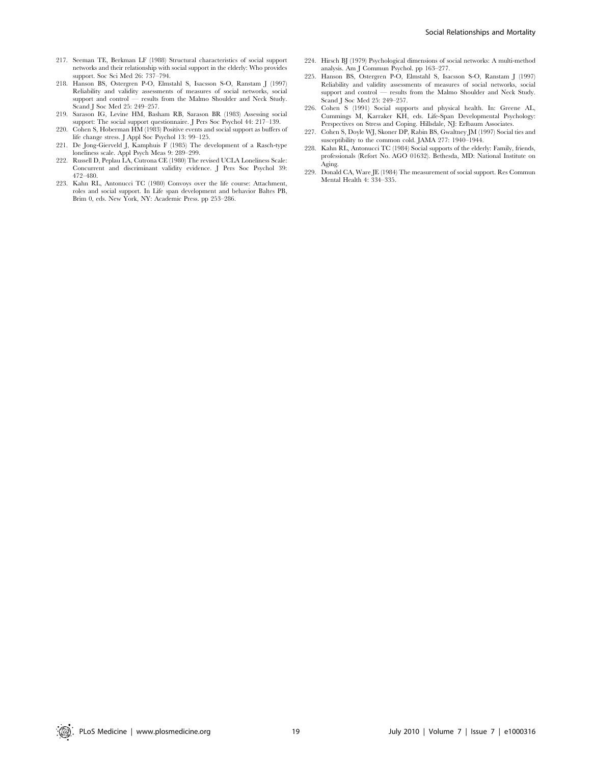- 217. Seeman TE, Berkman LF (1988) Structural characteristics of social support networks and their relationship with social support in the elderly: Who provides support. Soc Sci Med 26: 737–794.
- 218. Hanson BS, Ostergren P-O, Elmstahl S, Isacsson S-O, Ranstam J (1997) Reliability and validity assessments of measures of social networks, social support and control — results from the Malmo Shoulder and Neck Study. Scand J Soc Med 25: 249–257.
- 219. Sarason IG, Levine HM, Basham RB, Sarason BR (1983) Assessing social support: The social support questionnaire. J Pers Soc Psychol 44: 217–139.
- 220. Cohen S, Hoberman HM (1983) Positive events and social support as buffers of life change stress. J Appl Soc Psychol 13: 99–125.
- 221. De Jong-Gierveld J, Kamphuis F (1985) The development of a Rasch-type loneliness scale. Appl Psych Meas 9: 289–299.
- 222. Russell D, Peplau LA, Cutrona CE (1980) The revised UCLA Loneliness Scale: Concurrent and discriminant validity evidence. J Pers Soc Psychol 39: 472–480.
- 223. Kahn RL, Antonucci TC (1980) Convoys over the life course: Attachment, roles and social support. In Life span development and behavior Baltes PB, Brim 0, eds. New York, NY: Academic Press. pp 253-286.
- 224. Hirsch BJ (1979) Psychological dimensions of social networks: A multi-method analysis. Am J Commun Psychol. pp 163–277.
- 225. Hanson BS, Ostergren P-O, Elmstahl S, Isacsson S-O, Ranstam J (1997) Reliability and validity assessments of measures of social networks, social support and control — results from the Malmo Shoulder and Neck Study. Scand J Soc Med 25: 249–257.
- 226. Cohen S (1991) Social supports and physical health. In: Greene AL, Cummings M, Karraker KH, eds. Life-Span Developmental Psychology: Perspectives on Stress and Coping. Hillsdale, NJ: Erlbaum Associates.
- 227. Cohen S, Doyle WJ, Skoner DP, Rabin BS, Gwaltney JM (1997) Social ties and susceptibility to the common cold. JAMA 277: 1940–1944.
- 228. Kahn RL, Antonucci TC (1984) Social supports of the elderly: Family, friends, professionals (Refort No. AGO 01632). Bethesda, MD: National Institute on Aging.
- 229. Donald CA, Ware JE (1984) The measurement of social support. Res Commun Mental Health 4: 334–335.